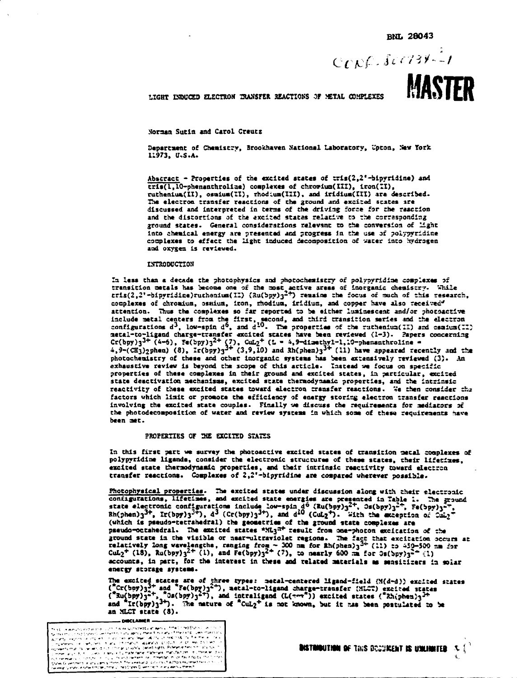$CCDC.$   $SCC 739 - 1$ 

# **MASTER**

LIGHT INDUCED ELECTRON TRANSFER REACTIONS OF METAL COMPLEXES

Norman Surin and Carol Creutz

Department of Chemistry, Brookhaven National Laboratory, Upton, New York 11973. U.S.A.

Abscract - Properties of the excited states of  $tris(2,2'-bipyridine)$  and tris(1,10-phenanthroline) complexes of chrowium(III), iron(II), ruthenius(II), osmium(II), rhodium(III), and iridium(III) are described. The electron transfer reactions of the ground and excited states are discussed and interpreted in terms of the driving force for the reaction and the distortions of the excited states relative to the corresponding ground states. General considerations relevant to the conversion of Hght Into chemical energy are presented and progress in the use of polypyridine complexes to effect the light induced decomposition of water into hydrogen and oxygen is reviewed.

# INTRODUCTION

In less than a decade the photophysics and photochemistry of polypyridine complexes of transition metals has become one of the most active areas of inorganic chemistry. While<br>tris(2,2'-bipyridine)ruthenium(II) ( $\frac{3u(bpy)}{3^{-2}}$ ) remains the focus of much of this research, couplexes of chromium, osnium, iron, rhodium, iridium, and copper have also received attention. Thus the complexes so far reported to be either luminescent and/or photoactive include metal centers from the first, second, and third transition series and the electron configurations  $d^3$ , low-spin  $d^6$ , and  $d^{10}$ . The properties of the ruthenium(II) and osaium(II) netal-to-ligand charge-transfer excited states have been reviewed (1-3). Papers concerning Cr(bpy)3<sup>3+</sup> (4-6), Fe(bpy)3<sup>2+</sup> (7), CuL<sub>2</sub><sup>+</sup> (1 = 4,9-dimethy1-1,10-phenanthroline =<br>4,9-(CH3)2phen) (8), Ir(bpy)3<sup>2+</sup> (3,9,10) and Rh(phen)3<sup>3+</sup> (11) have appeared recently and the photochemistry of these and other inorganic systems has been axtansively reviewed (3). An exhaustive review is beyond the scope of this article. Instead we focus on specific properties of these complexes in their ground and excited states, in particular, excited state deactivation mechanisms, excited state thermodynamic proporties, and the intrinsic reactivity of these excited states toward electron transfer reactions. We then consider the factors which limit or promote the efficiency of energy storing electron transfer reactions involving the excited state couples. Finally we discuss the requirements for mediators of the photodecomposition of water and review systems in which some of these requirements have been met.

### PROPERTIES OF THE EXCITED STATES

In this first part we survey the photoactive excited states of transition metal complexes of polypyridine ligands, consider the electronic structures of these states, their lifetiues. excited state thermodynamic properties, and their intrinsic reactivity toward electron transfer reactions. Complexes of 2.2'-bipyridine are compared wherever possible.

Photophysical properties. The excited states under discussion along with their electronic configurations, lifetimes, and excited state energies are presented in Table 1. The ground state electronic configurations include (which is pseudo-tetrahedral) the geometries of the ground state complexes are pseudo-octahedral. The excited states \*ML3<sup>n+</sup> result from one-photon excitation of the ground state in the visible or near-ultraviolet regions. The fact that excitation occurs at<br>relatively long wavelengths, ranging from ~ 300 mm for fh(phen)<sub>3</sub><sup>3+</sup> (11) to 459-500 mm for<br>CuL<sub>2</sub><sup>+</sup> (18), Ru(bpy)<sub>3</sub><sup>2+</sup> (1), accounts, in part, for the interest in these and related materials as sensitizers in solar energy storage systems.

The excited states are of three types: metal-centered ligand-field (M(d-d)) excited states (<sup>2</sup>Cr(bpy)<sub>3</sub><sup>2+</sup> and <sup>2</sup>Fe(bpy)<sub>3</sub><sup>2+</sup>), metal-to-ligand charge-transfer (MLCT) excited states (<sup>2</sup>Cr(bpy)<sub>3</sub><sup>2+</sup>, <sup>2</sup>Os(bpy)<sub>3</sub> an MLCT state (8).

| This bill www.poperationalistics.com in the surfamilies with the Anti-Mine Company and the Scientist                                                                  |
|-----------------------------------------------------------------------------------------------------------------------------------------------------------------------|
| the training of redispension uncreased many approximately for a large of the liam is called in make visits. I                                                         |
| Write the second calling with the excities and fear tubility of restricts the flemme of au-                                                                           |
| The partners in a series of the interface of animal scotlish of the discovery of                                                                                      |
| Appropriation of the Herodical Concar property cented rights. Paleren eiters in his suc- 2000                                                                         |
| o mme largo di 4 - Jues La limula bu trabilitate trabinare matufactum i multimeler dillo p                                                                            |
| in a consumou o control in locus insista remembles, minerato miller faviria da micionario.                                                                            |
| States Guardment or any carm scheme. The sees and concentrations recommender or a con-<br>oweway is easy or consist that the U. Indian permitted in a state of the KT |
|                                                                                                                                                                       |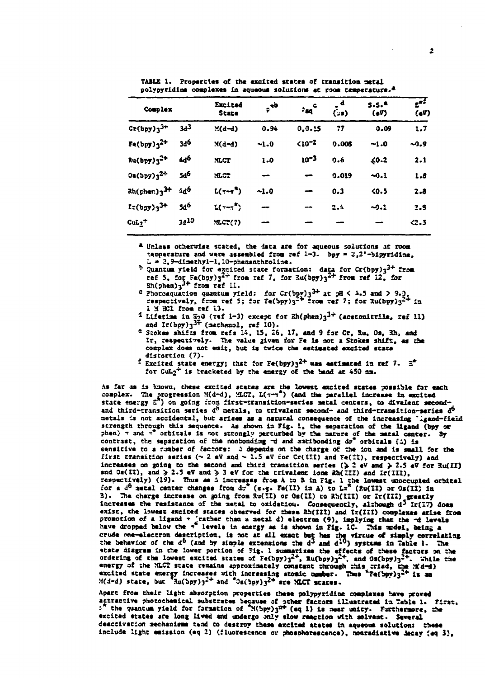TABLE 1. Properties of the excited states of transition metal polypyridine complexes in aqueous solutions at room temperature.<sup>2</sup>

| Complex                                                     |                 | Excited<br><b>State</b> | $e^{i\phi}$ | $\frac{1}{2}$ and $\frac{c}{2}$ | ه<br>(د:) | S.S. <sup>4</sup><br>(67) | $\mathbf{r}^t$<br>$($ eV $)$ |
|-------------------------------------------------------------|-----------------|-------------------------|-------------|---------------------------------|-----------|---------------------------|------------------------------|
| $Cr(bpy)3^{3+}$                                             | 3ء -            | $M(d-d)$                | 0.94        | 0.0.15                          | 77        | 0.09                      | 1.7                          |
| $Fe(bpy)$ $32+$                                             | 3d <sup>6</sup> | $M(d-d)$                | $-1.0$      | $5 - 21$                        | 0.006     | $-1.0$                    | $-0.9$                       |
| $Ru(bpy)3^{2+}$                                             | 4d <sup>6</sup> | <b>MICT</b>             | 1.0         | $10^{-3}$                       | 0.6       | 50.2                      | 2.1                          |
| $0a(bpy)3^{2+}$                                             | 54 <sup>6</sup> | MCT                     |             | -                               | 0.019     | $-0.1$                    | 1.3                          |
| $Rh($ <sub>F</sub> her.) $_3$ <sup>3+</sup> 4d <sup>6</sup> |                 | $L(\tau - \tau^*)$      | $-1.0$      |                                 | 0.3       | 5.5                       | 2.3                          |
| $I:({bp})_3^{3+}$                                           | 546             | $L(\tau-\tau^*)$        |             |                                 | 2.4       | $-0.1$                    | 2.9                          |
| $\text{CuL}_2$ <sup>+</sup>                                 | 3410            | MLCT(?)                 |             |                                 |           |                           | 42.5                         |

<sup>a</sup> Unless otherwise stated, the data are for aqueous solutions at room temperature and were assembled from ref 1-3. bpy = 2,2'-bipyridine, L = 2,9-dimethyl-1,10-phemanthroline.

b Quantum yield for excited state formation: data for  $Cr(bpy)_{3}^{3+}$  from ref 5, for  $Fe(bpy)3^{2+}$  from ref 7, for  $3u(bpy)3^{2+}$  from ref 12, for  $8h(phen)3^{3+}$  from ref 11.

c photosquation quantum yield: for Cr(bpy)3<sup>3+</sup> at pH < 4.5 and > 9.0,<br>respectively, from ref 5; for Fe(bpy)3<sup>2+</sup> from ref 7; for 3u(bpy)3<sup>2+</sup> in 1 M HCl from ref 13.

d Liferine in H20 (ref 1-3) except for Rh(phen) $3^{3+}$  (acetonitrile, ref 11) and  $Ir(bpy)_{3}^{3+}$  (methenol, ref 10).

e Stokes shifts from refs 14, 15, 26, 17, and 9 for Cr, Ru, Os, Rh, and Ir, respectively. The value given for Fe is not a Stokes shift, as the complex does not emit, but is twice the estimated excited state distortion (7).

<sup>f</sup> Excited state energy; that for Fe(bpy) $3^{2+}$  was estimated in ref 7.  $\bar{z}^*$ for CuL<sub>2</sub><sup>+</sup> is bracketed by the energy of the band at 450 nm.

As far as is known, these excited states are the lowest excited states possible for each complex. The progression  $M(d-d)$ ,  $M_cT$ ,  $L(\tau-\tau^2)$  (and the parallel increase in excited<br>state energy  $E^T$ ) on going from first-cransition-series metal centers, to divalent secondand third-transition series d<sup>6</sup> netals, to trivalent second- and third-transition-series d<sup>6</sup> metals is not accidental, but arises as a natural consequence of the increasing "lgand-field scrength through this sequence. As shown in Fig. 1, the separation of the ligand (bpy or phen) 7 and 7<sup>7</sup> orbitals is not strongly perturbed by the nature of the metal center. By contrast, the separation of the nonbonding of and antibonding do<sup>\*</sup> orbitals (1) is sensitive to a number of factors: A depends on the charge of the ion and is small for the first transition series  $(\sim 2$  eV and  $\sim 1.5$  eV for Cr(III) and Fe(II), respectively) and increases on going to the second and third transition series ( $\geq$  2 eV and  $\geq$  2.5 eV for Ru(II) and Os(II), and  $\geq 2.5$  eV and  $\geq 3$  eV for the trivalent ions Rh(III) and Ir(III), respectively) (19). Thus as  $\Delta$  increases from A to B in Fig. 1 the lowest unoccupied orbital<br>for a  $d^0$  setal center changes from  $d\sigma^*$  (e.g. Fe(II) in A) to  $L\pi^*$  (Ru(II) or Os(II) in 3). The charge increase on going from Ru(II) or Os(II) to Rh(III) or Ir(III) greatly increases the resistance of the netal to oxidatiou. Consequently, although  $d^3$  Ir(IT) does exist, the lowest excited states observed for these Rh(III) and Ir(III) complexes arise from<br>promotion of a ligand  $\tau$  'rather than a netal d) electron (9), implying that the  $\tau$ d levels<br>have dropped below the  $\tau^2$  le crude one-electron description, is not at all exact but has the virtue of slaply correlating<br>the behavior of the  $d^0$  (and by simple extensions the  $d^3$  and  $d^{10}$ ) systems in Table 1. The<br>state diagram in the lower po ordering of the lowest excited states of  $Fe(bpy)_3^{2+}$ ,  $Ru(bpy)_3^{2+}$ , and  $9s(bpy)_3^{2+}$ . While the energy of the MLCT state remains approximately constant through this triad, the MLCT excited state energy increases with incr

Apart from their light absorption properties these polypyridine complexes have proved actractive photochemical substrates because of other factors illustrated in Table 1. First, excited states are long lived and undergo only slow reaction with solvent. Several deactivation mechanisms tend to destroy these excited atates in aqueous solution: these include light emission (eq 2) (fluorescence or phosphorescence), nonradiative decay (eq 3),

 $\mathbb{Z}^{\times}$  .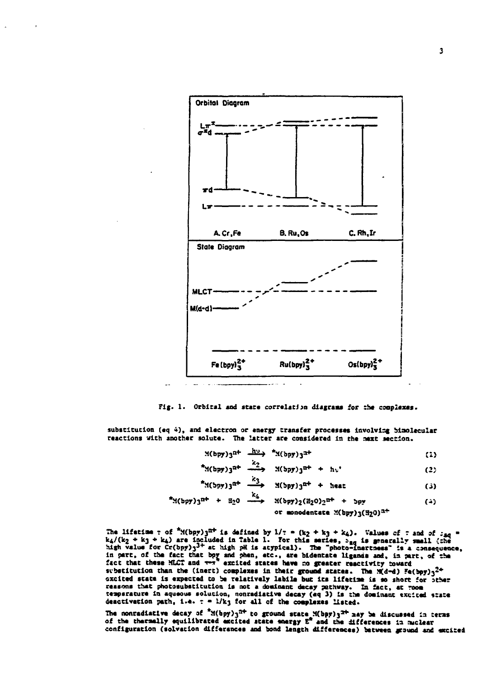

Fig. 1. Orbital and state correlation diagrams for the complexes.

substitution (eq 4), and electron or energy transfer processes involving binolecular reactions with another solute. The latter are considered in the maxt section.

$$
M(bpy)_{3}^{nt} \xrightarrow{dV} M(bpy)_{3}^{nt}
$$
 (1)

$$
^{2}M(bpy)3^{n+} \xrightarrow{k_{2}} M(bpy)3^{n+} + h\nu'
$$
 (2)

$$
^{+}M(bpy)3^{a+} \xrightarrow{a_{3}} M(bpy)3^{a+} + heat
$$
 (3)

$$
*(bpy)3^{nt} + B_20 \xrightarrow{k_4} X(bpy)2(B_20)2^{nt} + bpy
$$
 (4)

or monoden**text**ate 
$$
\mathfrak{A}(b\mathfrak{p}\mathfrak{y})\mathfrak{z}(\mathfrak{A}_2 0)^{\mathfrak{A}+}
$$

The lifetian r of  $^4$ N(bpy) $3^{2+}$  is defined by  $1/\tau = (k_2 + k_3 + k_4)$ . Values of r and of  $z_{40} = k_4/(k_2 + k_3 + k_4)$  are included in Table 1. For this series,  $z_{40}$  is generally small (the high value for  $Cr(bpy)3^{3+}$  at hi substitution than the (inert) complexes in their ground states. The M(d-d) Fe(bpy)3<sup>2+</sup> excited state is expected to be relatively labile but its lifetime is so short for other reasons that photosubstitution is not a dominant decay pathway. In fact, at woon temperature in aqueous solution, nonradiative decay (eq 3) is the dominant excited state deactivation path, i.e.  $\tau = 1/k_3$  for all of the complexes listed.

The nonradiative decay of  $^{\pi}$ X(bpy)<sub>3</sub><sup>2+</sup> to ground state X(bpy)<sub>3</sub><sup>2+</sup> may be discussed in terms of the thermally equilibrated excited state energy  $E^*$  and the differences in nuclear configuration (solvation differences and bond length differences) between ground and excited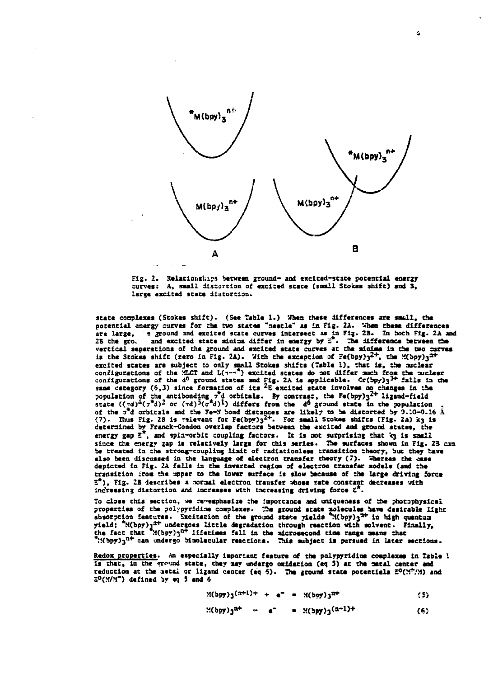

 $\Delta$ 



state complexes (Stokes shift). (See Table 1.) When these differences are small, the potential energy curves for the two states "nestle" as in Fig. 2A. When these differences are large, a ground and excited state curves intersect as in Fig. 2B. In both Fig. 2A and and excited state minima differ in energy by E<sup>2</sup>. The difference between the 26 the gro. vertical separations of the ground and excited state curves at the minima in the two curves<br>is the Stokes shift (zero in Fig. 2A). With the exception of Fe(bpy) $3^{2+}$ , the M(bpy) $3^{2+}$ excited states are subject to only small Stokes shifts (Table 1), that is, the nuclear excited states are subject to only small brokes shirts (leader 1), that is, the checker<br>configurations of the MLCT and L( $x$ - $\pi$ ) excited states do not differ much from the muclear<br>configurations of the d<sup>6</sup> ground state same category (0,3) since rorantion of its -E excited state involves as camples in the<br>population of the antibonding  $\tau^2$ d orbitals. By contrast, the Fe(bpy) $3^{2+}$  ligand-field<br>state  $((\tau d)^4(\tau^2 d)^2$  or  $(\tau d)^5(\tau^2 d)^1)$  determined by Franck-Condon overlap factors between the excited and ground states, the energy gap  $\bar{z}^*$ , and spin-orbit coupling factors. It is not surprising that kg is small since the energy gap is relatively large for this series. The surfaces shown in Fig. 23 can be treated in the strong-coupling limit of radiationless transition theory, but they have also been discussed in the language of electron transfer theory (7). Whereas the case depicted in Fig. 2A falls in the inverted region of electron transfer models (and the transition from the upper to the lower surface is slow because of the large driving force  $\bar{z}^*$ ). Fig. 2B describes a normal electron transfer whose rate constant decreases with indressing distortion and increases with increasing driving force Z'

To close this section, we remembesize the importance and uniqueness of the photophysical properties of the polypyridine complexes. The ground state molecules have desirable light absorption features. Excitation of the ground state yields "M(bpy)3<sup>2+</sup> in high quantum yield;  $M(bpy)q^{2+}$  undergoes little degradation through reaction with solvent. Finally, the fact that  $M(bpy)q^{2+}$  lifetimes fall in the microsecond time range means that ": (bpy)q<sup>n+</sup> can undergo bimolecular reactions. This subject is pursued in later sections.

Redox properties. An especially important feature of the polypyridine complexes in Table 1 is that, in the ground state, they may undargo oxidation (eq 5) at the metal center and reduction at the netal or ligand center (eq 5). The ground state potentials  $\mathbb{E}^0(\mathbb{M}^2/\mathbb{N})$  and  $5^{\circ}$ (M/M<sup>-</sup>) defined by eq 5 and 6

$$
((bpy)_3^{(a+1)+} + e^- = N(bpy)_3^{a+}
$$
 (5)

$$
H(bpy)_{3}^{nr} + e^{r} = H(bpy)_{3}(n-1)^{r}
$$
 (6)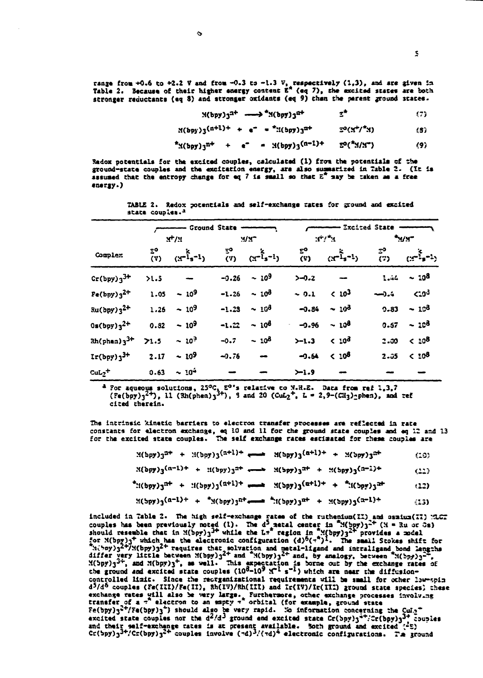range from +0.6 to +2.2 V and from -0.3 to -1.3 V, respectively (1,3), and are given in Table 2. Because of their higher energy content  $E^*$  (eq 7), the excited states are both stronger reductants (eq 8) and stronger oxidants (eq 9) than the parent ground states.

$$
M(bpy)q^{2+} \longrightarrow M(bpy)q^{2+} \qquad \qquad \mathbb{Z}^*
$$
 (7)

$$
M(bpy)3^{(n+1)+} + e^{-} = {^*M(bpy)}3^{n+} = 5^0(M^2)^{n}
$$
 (3)

$$
^{*}\mathcal{A}(bpy)q^{n+} + e^{-} = \mathcal{A}(bpy)q^{(n-1)+} = \mathcal{D}(^{*}\mathcal{A}/\mathcal{A}^{-})
$$
 (9)

Redox potentials for the excited couples, calculated (1) from the potentials of the ground-state couples and the excitation energy, are also summarized in Table 2. (It is assumed that the entropy change for eq 7 is small so that  $E^*$  say be taken as a free energy.)

|                                 |           | Ground State - |                |                                              |                              | --- Excited State -- |           |                            |  |
|---------------------------------|-----------|----------------|----------------|----------------------------------------------|------------------------------|----------------------|-----------|----------------------------|--|
|                                 |           | $M^+/M$        | M <sub>2</sub> |                                              | $\mathbf{r}^*/\mathbf{r}$    |                      | سيريبه    |                            |  |
| Complex                         | ፰°<br>(V) | $(x^{-1}-1)$   |                | ξο<br>(γ) (χ <sup>−ἶ</sup> s <sup>−ł</sup> ) | $\tilde{\mathbf{r}}^{\circ}$ | $(x^{-1} - 1)$       | $\bar{c}$ | $(x^{-\frac{5}{2}}s^{-1})$ |  |
| $Cr(bpy)3^{3+}$                 | >1.5      |                | $-0.26$        | - 10 <sup>9</sup>                            | $5 - 0.2$                    |                      | 1.44      | $-10^{8}$                  |  |
| $Fe(bpy)$ $3^{2+}$              | 1.05      | $-10^{9}$      | $-1.26$        | - 10მ                                        | $-0.1$                       | < 10 <sup>3</sup>    | ءُ.رسہ    | $5.0^{3}$                  |  |
| Ru(bpy)3 <sup>2+</sup>          | 1.25      | $-109$         | $-1.23$        | $\sim 10^3$                                  | $-0.84$                      | $-10^3$              | $9 - 83$  | $-103$                     |  |
| $0s(bpy)3^{2+}$                 | 0.32      | $-10^9$        | $-1.22$        | $-10^3$                                      | $-0.96$<br>$\sim$            | $-10^{8}$            | 0.57      | $-103$                     |  |
| $\frac{3+1}{2}$                 | 21.5      | $-103$         | $-0.7$         | $-10^3$                                      | $>-1.3$                      | < 10 <sup>3</sup>    | 2.00      | $< 10^{8}$                 |  |
| $\text{Ir(bpy)}$ $3^{\text{+}}$ | $2 - 17$  | $-109$         | $-0.76$        | $\bullet$                                    | $-9.64$                      | $< 10^{8}$           | $2 - 05$  | $< 10^{3}$                 |  |
| $\mathrm{cut_2}{}^+$            | $0 - 63$  | $\sim 10^{4}$  |                |                                              | $-1.9$                       |                      |           |                            |  |

TABLE 2. Redox potentials and self-exchange rates for ground and excited state couples.<sup>3</sup>

<sup>a</sup> For aqueous solutions, 25°C, E<sup>o\*</sup>s relative to N.H.E. Data from ref 1,3,7<br>(Fe(bpy)<sub>3</sub><sup>2+</sup>), 11 (Rh(phen)<sub>3</sub><sup>3+</sup>), 9 and 20 (CuL<sub>2</sub><sup>+</sup>, L = 2,9-(CH<sub>3</sub>)<sub>2</sub>phen), and ref cited therein.

The intrinsic kinetic barriers to electron transfer processes are reflected in rate constants for electron exchange, eq 10 and 11 for the ground state couples and eq 12 and 13 for the excited state couples. The self exchange rates estimated for these couples are

| ¥(bpy) 3 <sup>a+</sup> |  | $\mathfrak{U}(\mathfrak{p}\mathfrak{p}\mathfrak{z})\mathfrak{z}^{(n+1)+}$ |  | $M(bpy)3^{(B+1)+1}$ |  | $+ 3(y)3^{27}$ | (20) |
|------------------------|--|---------------------------------------------------------------------------|--|---------------------|--|----------------|------|
|------------------------|--|---------------------------------------------------------------------------|--|---------------------|--|----------------|------|

 $N(bpy)_3(n-1)^+ + 1(bpy)_3^{2+} \longrightarrow N(bpy)_3^{2+} + N(bpy)_3(n-1)^+$  $(11)$ 

 $f(x_{00}y)$ <sup>+</sup> +  $f(x_{00}y)$  +  $f(x_{00}y)$  =  $f(x_{01}y)$  +  $f(x_{01}y)$  +  $f(x_{00}y)$ (12)

$$
((by)(a^{-1})^{+} + (1-p)(by)(b^{+})^{2^{n+}} + 2(p(y))^{n+} + 2(p(y))^{2^{n+}} + (1-p)(b^{n+})^{2^{n+}}
$$

included in Table 2. The high self-exchange rates of the ruthenium(II) and ossium(II) MLGT<br>couples has been previously noted (1). The d<sup>3</sup> actal center in  $\mathcal{M}(hyp)j^{\text{-}t}$  (N = Ru or Gs)<br>should resemble that in  $\mathcal{M}(hyp$ controlled limit. Since the recrganizational requirements will be small for other low-spin d<sup>5</sup>/d<sup>6</sup> couples (Fe(III)/Fe(II), Rh(IV)/Rh(III) and Ir(IV)/Ir(III) ground state species; these exchange rates will also be very large. Furthermore, other exchange processes involving<br>transfer of a 7 electron to an appty 7 orbital (for example, ground state<br> $Fe(bpy)_{3}^{-1}/Fe(bpy)_{3}^{-1}$ ) should also be very rapid. No infor and their self-exchange rates is at present available. Soth ground and excited  $(55)$ <br>Cr(5py)<sub>3</sub><sup>3+</sup>/Cr(bpy)<sub>3</sub><sup>2+</sup> couples involve  $(\neg d)^3$ /( $\neg d$ )<sup>4</sup> electronic configurations. The ground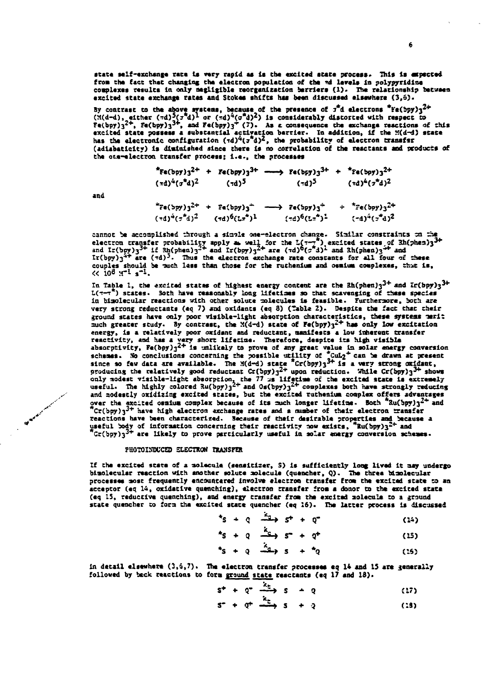state self-exchange rate is very rapid as is the excited state process. This is expected from the fact that changing the electron population of the *md* levels in polypyridine **complexes results in only negligible reorganization barriers (1). The. relationship between** excited state exchange rates and Stokes shifts has been discussed elsewhere (3.5).

By contrast to the above systems, because of the presence of  $\tau^*$ d electrons "Fe(bpy) $3^{2+}$ <br>(M(d-d), either (md) $\frac{5}{3}(\tau^*d)^1$  or (md)<sup>4</sup>( $\sigma^*d$ )<sup>2</sup>) is considerably distorted with respect to  $\text{Fe(bpy)}$ <sup>2+</sup>,  $\text{Fe(bpy)}$ <sup>3+</sup>, and  $\text{Fe(bpy)}$ <sup>+</sup> (7). As z consequence the exchange reactions of this excited state possess a substantial activation barrier. In addition, if the X(d-d) state<br>has the electronic configuration ( $\tau d$ )<sup>2</sup>( $\tau$ d)<sup>2</sup>, the probability of electron transf<del>a</del>r (adiabaticity) is diminished since there is no correlation of the reactants and products of the ota-electron transfer process; i.e., the processes

> $*$ **Fe**(bpy)<sup>3</sup><sup>2+</sup> + Fe(bpy)<sup>3+</sup> ----> Fe(bpy)<sub>3</sub><sup>3+</sup> +  $*$ Fe(bpy)<sub>3</sub><sup>2+</sup> **(sd)<sup>4</sup> (»\*d)2 (Td)' ('d)^**  $(\tau d)^4 (\tau^* d)^2$  $*_{Fe(\text{bpy})3}^{2+}$  +  $Fe(\text{bpy})_3^{+}$  -->  $Fe(\text{bpy})_3^{+}$  +  $*_{Fe(\text{bpy})_3}^{2+}$  $(\tau d)^{4} (\tau^{*} d)^{2}$   $(\tau d)^{6} (L\tau^{*})^{1}$  $(*d)^6(Lx^2)^2$

**and**

**cannot be accomplished through a siaol\* one-electron change. Siailar constraints** *sa za\** **electron and couples should be -auch lass than those for the ruthenium and osmium complexes, that is,**  $(0.108 \text{ yr}^2)^{-1}$ **,** 

In Table 1, the excited states of highest energy content are the  $\frac{3}{4}$  and  $\frac{1}{4}$   $\frac{1}{2}$   $\frac{3}{4}$ *Z(t—***r\*) states. 3oth have reasonably long lifetlae a so chat scavenging of these species in blaolecular reactions with other solute molecules is feasible . Furthermore, both arc very scrong reductancs (eq 7) and oxidants (eq 3) (Table 2) . Despite the fact chat thei r** ground states have only poor visible-light absorption characteristics, these systems merit<br>much greater study. By contrast, the M(d-d) state of Fe(bpy)<sub>3</sub><sup>2+</sup> has only low excitation **energy, is a relativel y poor oxldant and reductant, manifests a low inherent transfer reactivity , and has a very short lifetime . Therefore, despite its high visibl e absorptivity, Fe(bpy) <sup>3</sup>^ + is unlikely to prove of any great value i a solar energy conversion schemes. No conclusions concerning the possible utilit y of \*CuI<2\* can be drawn ac present since so few data are available . The M(d-d) stat e \*Cr(bpy)33+ i s a very strong oxidane,** producing the relatively good reductant  $Cr(bpy)$ <sup>2+</sup> upon reduction. While  $Cr(bpy)$ <sup>3+</sup> shows **only aodest visible-ligh t absorption, che 77 us llfecia e of che excited scac\* is extremely useful. The highly colored 3u(bpy) <sup>3</sup> 2 + and 0s(bpy) <sup>3</sup> 2 \* complexes both have strongly reducing** *y* **and aodescly oxidizing exciced states, but the excited ruthenium complex offer s advantages ..-•• over the excited osmium cooplex because of its auch longer lifetlae . Both \*Xu(bpy)3~\* and / '' \*Cr(bpy)3^<sup>+</sup> have high electron exchange races and a mmber of their electron transfer** V **V** *VIVIT* **and the characterized. Because of their electron transfer and the reactions have been characterized. Because of their desirable properties and because a useful body of information announced a characterized an useful body of information concerning their reactivit y aow exists, \*lu(bpy)3"-<sup>+</sup> and \*Cr(bpy)33+ are likel y to prove particularly useful in solar energy conversion schemes.**

## **PHOTOISDUCED SLECTKON IxAMSFEK**

**If the excited stat e of a aolacule (senalciser , S) is sufficientl y long lived i t aay undergo** bimolecular reaction with another solute molecule (quencher, Q). The three bimolecular processes most frequently encountered involve electron transfer from the excited state to an acceptor (eq 14, oxidative quenching), electron transfer from a donor to the excited state (eq 15, reductive quenching), and energy transfer from the excited nolecule to a ground **stat e quencher to fora the excited stace quencher (eq 16). The latte r process is discussed**

$$
t_{S} + q \xrightarrow{f_{S}} t + q^{*} \qquad (14)
$$

$$
^*s + q \xrightarrow{\alpha} s^* + q^* \qquad (15)
$$

$$
^{\star}\mathsf{s} + \mathsf{Q} \stackrel{\mathsf{def}}{\longrightarrow} \mathsf{s} + \mathsf{A} \mathsf{Q} \tag{15}
$$

in detail elsewhere  $(3,6,7)$ . The electron transfer processes eq 14 and 15 are generally followed by beck reactions to form ground state reactants (eq 17 and 18).

$$
s^+ + q^- \xrightarrow{k_0} s^- - q \qquad (17)
$$

$$
S^* + \varphi^+ \xrightarrow{\cdots} S + \varrho \qquad (18)
$$

6

 $5 - a$ <sup>2</sup> $(5 - a)$ <sup>2</sup>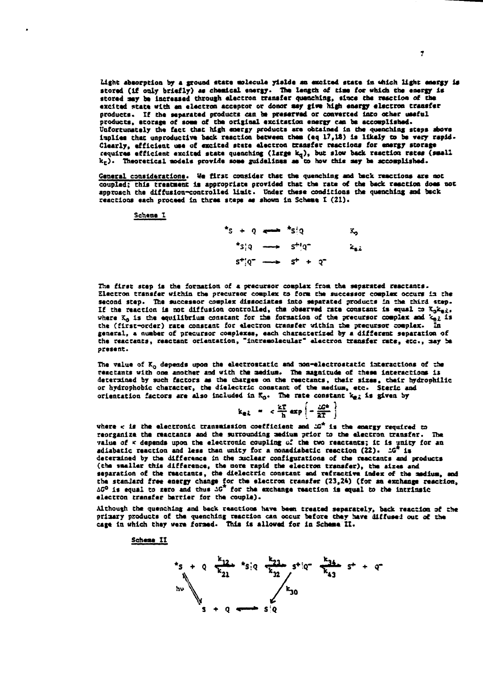**absorption by a ground state molecule yields an excited state In «hlch light energy is** stored (if only briefly) as cheatcal energy. The length of time for which the energy is **stored aey be increased through electron transfer quenching, since the reaction of the excited state with an electron acceptor or donor aay fiwe high energy electron transfer** products. If the separated products can be preserved or converted into other useful **products, storage of soae of the original excitation energy can be accomplished. Unfortunately the fact that high energy products are obtained in the quenching seeps above Implies that unproductive back reaction between ehea (eq 17,18) is likely to be very rapid. Clearly, efficient use of excited state electron transfer reactions for energy storage** requires efficient excited state quenching (large k<sub>q</sub>), but slow back reaction rates (small **k <sup>c</sup> ) . Theoretical models provide soae guidelines a\* to how this aey be accomplished.**

**General considerations. Ve first consider that the quenching and beck reactions are not** coupled; this treatment is appropriate provided that the rate of the back reaction does not **approach the diffusion-controlled Halt. Under these conditions the quenching and back reactions each proceed in three seeps as shown In Scheae I (21).**

**Schene I**

**\*S + Q «- — \*S?Q X,**  $\star$ s:  $q \longrightarrow s^{+1}q^{-}$  $\mathbf{z}_{\text{eff}}$ **S <sup>+</sup>jQ~ • » S\* + Q~**

**The first seep Is the foraatlon of a precursor complex froa the separated reactants. Electron transfer within the precursor coaplex to fora the successor coaplex occurs la the second step. The successor coaplex dissociates Into separated products ia the third seep. If the reaction is not diffusion controlled, the observed rate constant is equal ta ijt^i,** where K<sub>G</sub> is the equilibrium constant for the formation of the precursor complex and  $\kappa_{n,2}$  is **the (first-order) rate constant for electron transfer within she precursor coaplex. In general, a number of precursor complexes, each characterized by a different separation of the reactants, reaceant orientation, "intramolecular" electron transfer rate, etc., aay be present.**

**The value of Ko depends upon the electrostatic and non-electrostatic Interactions of the reaetants with one another and with the aediua. The magnitude of these interactions is determined by such factors as the charges on the reeceants, their sizes, their hydrophilic or hydrophobic character, the dielectric constant of the aedlua, etc- Sterlc and** orientation factors are also included in  $K_{\alpha}$ . The rate constant  $k_{\alpha}$  is given by

$$
k_{el} = c \frac{kT}{h} \exp\left(-\frac{\omega^{2}}{2T}\right)
$$

**where < Is the electronic transmission coefficient and 2G\* is the energy required to reorganize the reactancs and the surrounding aedlua prior to the electron transfer. The value of < depends upon the electronic coupling o' the two reactants; 1c Is unity for an adiabatic reaction and less than unity for a noaadlabatic reaction (22). iG\* is deterained by the difference in the nuclear configurations of the reactants and produces (the smaller this difference, the aore rapid the electron transfer), the sizes and separation of the reactants, the dielectric constant and refractive index of the aediua, and the standard free energy change for the electron transfer (23,24) (for an exchange reaction, iC° is equal to zero and thus AC for the exchange reaction la equal to the Intrinsic electron transfer berrler for the couple).**

**Although the quenching and beck reactions have been treated separately, back reaction af the priaary products of the quenching reaction can occur before they have diffuse! out of the cage In which they were formed. This is allowed for In Scheme II.**

**Scheae II**

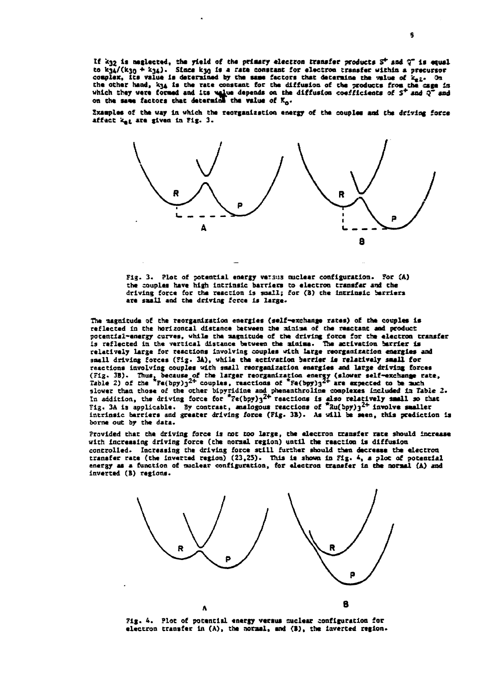If k32 is neglected, the yield of the primary electron transfer products 5<sup>+</sup> and Q<sup>-</sup> is equal to  $k_{34}/(k_{30} + k_{34})$ . Since  $k_{30}$  is a rate constant for electron transfer within a precursor complex, its value is determined by the same factors that determine the value of kel- On the other hand, k34 is the rate constant for the diffusion of the products from the cage in which they were formed and its value depends on the diffusion coefficients of  $S^+$  and  $Q^-$  and<br>on the same factors that determine the value of  $K_0$ .

Examples of the way in which the reorganization energy of the couples and the driving force affect ket are given in Fig. 3.



Fig. 3. Plot of potential energy versus nuclear configuration. For (A) the couples have high intrinsic barriers to electron transfer and the driving force for the reaction is small; for (B) the intrinsic barriers are small and the driving force is large.

The magnitude of the reorganization energies (self-exchange rates) of the couples is reflected in the horizontal distance between the minima of the reactant and product potential-energy curves, while the magnitude of the driving force for the electron transfer is reflected in the vertical distance between the ainima. The activation barrier is relatively large for reactions involving couples with large reorganization energies and small driving forces (Fig. 3A), while the activation barrier is relatively small for reactions involving couples with small reorganization energies and large driving forces (Fig. 3B). Thus, because of the larger reorganization energy (slower self-exchange rate, Table 2) of the "Fe(bpy) $3^{2+}$  couples, reactions of "Fe(bpy) $3^{2+}$  are expected to be such slower than those of the other bipyridine and phenanthrolline complexes included in Table 2.<br>In addition, the driving force for  ${{}^{*}\text{Fe}}(\text{hyp})_3^{2+}$  reactions is also relatively small so that<br>Fig. 3A is applicable. By c intrinsic barriers and greater driving force (Fig. 3B). As will be seen, this prediction is borne out by the data.

Provided that the driving force is not too large, the electron transfer rate should increase with increasing driving force (the normal region) until the reaction is diffusion controlled. Increasing the driving force still further should then decrease the electron transfer rate (the inverted region) (23,25). This is shown in Fig. 4, a plot of potential energy as a function of nuclear configuration, for electron transfer in the normal (A) and inverted (B) regions.



Fig. 4. Plot of potential energy versus muclear configuration for electron transfer in (A), the normal, and (B), the inverted region.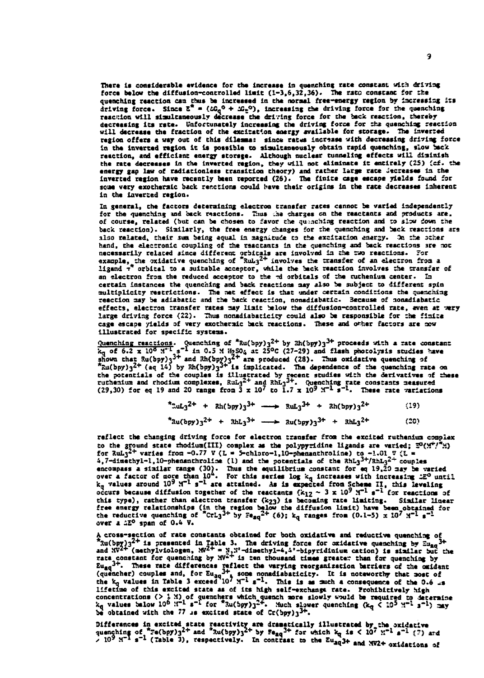There is considerable evidence for the increase in quesching rate constant with driving force below the diffusion-controlled limit  $(1-3,6,32,36)$ . The rato constant for the quenching reaction can thus be increased in the normal free-energy region by increasing its<br>driving force. Since  $\bar{z}^* = (LC_q^0 + LL_c^0)$ , increasing the driving force for the quenching<br>reaction will simultaneously decreas decreasing its rate. Unfortunately increasing the driving force for the quenching reaction will decrease the fraction of the excitation energy available for storage. The inverted region offers a way out of this dilemna: since rates increase with decreasing driving force in the inverted region it is possible to simultaneously obtain rapid quenching, slow back reaction, and efficient energy storege. Although nuclear tunneling effects will diminish the rate decreases in the inverted region, they will not eliminate it entirely (25) (cf. the energy gap law of radiationless transition theory) and rather large rate decreases in the inverted region have recently been reported (26). The finite cage escape yields found for scan very exotheraic back recetions could have their origins in the rate decreases inherent in the inverted region.

In general, the factors determining electron transfer rates cannot be varied independently for the quenching and back reactions. Thus the charges on the reactants and products are, of course, related (but can be chosen to favor the quenching reaction and to slow down the back reaction). Similarly, the free energy changes for the quenching and back reactions are also related, their sum being equal in magnitude to the excitation energy. On the other hand, the electronic coupling of the reactants in the quenching and back reactions are not necessarily related since different problems are involved in the two reactions. For<br>example, the oxidative quenching of  $\pi u_3^2$  involves the transfer of an electron from a<br>ligand  $\tau^*$  orbital to a suitable acceptor, w an electron from the reduced acceptor to the rd orbitals of the ruthenium center. In certain instances the quenching and back reactions may also be subject to different spin multiplicity restrictions. The net effect is that under certain conditions the quenching reaction may be adiabatic and the back reaction, nonadiabatic. Because of nonadiabatic effects, electron transfer rates may limit below the diffusion-controlled rate, even at wery large driving force (22). Thus nonadiabaticity could also be responsible for the finite cage escape yields of very exothernic back reactions. These and other factors are now illustrated for specific systems.

<u>Quenching reactions</u>. Quenching feaching of  $^*$ Ru(bpy)<sub>3</sub><sup>2+</sup> by Rh(bpy)<sub>3</sub><sup>2+</sup> proceeds with a rate constant  $k_q$  of 6.2 x 10<sup>5</sup> m<sup>2</sup> s<sup>-1</sup> in 0.5 M ip<sub>5</sub>00<sub>4</sub> at 25°C (27-29) and flash photolysis studies have shown th

| *RuL <sub>3</sub> <sup>2+</sup> + Rh(5py) <sub>3</sub> <sup>3+</sup> - RuL <sub>3</sub> <sup>3+</sup> + Rh(5py) <sub>3</sub> <sup>2+</sup>      |  |  |  |  | (19) |
|-------------------------------------------------------------------------------------------------------------------------------------------------|--|--|--|--|------|
| $*$ Ru(bpy) <sub>3</sub> <sup>2+</sup> + RhL <sub>3</sub> <sup>3+</sup> --> Ru(bpy) <sub>3</sub> <sup>3+</sup> + RhL <sub>3</sub> <sup>2+</sup> |  |  |  |  | (20) |

reflect the changing driving force for electron transfer from the excited ruthenium complex to the ground state rhodium(III) complex as the polypyridine ligands are varied;  $\mathbb{S}(\mathbb{M}^*)^T\mathbb{N}$ ) for RuL<sub>3</sub><sup>2+</sup> varies from -0.77 V (L = S-chloro-1,10-phenanthroline) to -1.01 V (L = 4,7-dimethyl-1,10-phenanthroline (1) and the potentials of the RhL<sub>3</sub><sup>3+</sup>/RhL<sub>3</sub><sup>2+</sup> couples encoupass a sixthar range (30). Thus the equilibrius constant for eq 19,20 may be varied<br>over a factor of more than 10<sup>4</sup>. For this series log k<sub>q</sub> increases with increasing 12<sup>0</sup> until<br>k<sub>q</sub> values around  $10^9$  M<sup>-1</sup> s<sup>-</sup> this type), rather than electron transfer (k23) is becoming rate limiting. Similar linear free energy relationships (in the region below the diffusion limit) have been obtained for<br>the reductive quenching of "CrL<sub>3</sub><sup>3+</sup> by  $\epsilon_{aq}^{2+}$  (6); k<sub>q</sub> ranges from (0.1-5) x 10<sup>7</sup>  $x^{-1}$  s<sup>-1</sup> over a <sup>520</sup> span of 0.4 V.

A cross-section of rate constants obtained for both oxidative and reductive quenching of A cross-section of rate constants obtained for both oxidative and reductive quenching of<br>  ${}^{2}_{300}(bpy)^{2^{2+}}$  is presented in Table 3. The driving force for oxidative quenching by  $\Xi_{4a}^{3+}$ <br>
and  $30^{2+}$  (methylviologe lifetime of this excited state as of its high self-exchange rate. Prohibitively high concentrations (> 1 M) of quenchers which quench more slowly would be required to determine  $k_q$  values below 10<sup>6</sup> H<sup>-1</sup> s<sup>-1</sup> for <sup>\*</sup>3u(bpy)<sub>3</sub><sup>2+</sup>. Much slower quenching  $(k_q \leq 10^5$  M<sup>-1</sup> s<sup>-1</sup>) may be obtained with t

Differences in excited state reactivity are dramatically illustrated by the oxidative<br>quenching of  $7\pi(\text{bpy})_3^{2+}$  and  $\pi(\text{bpy})_3^{2+}$  by  $5\epsilon_{aq}^{2+}$  for which  $k_q$  is < 10<sup>7</sup>  $\text{N}^{-1}$  s<sup>-1</sup> (7) and<br> $\times$  10<sup>9</sup>  $\text{N$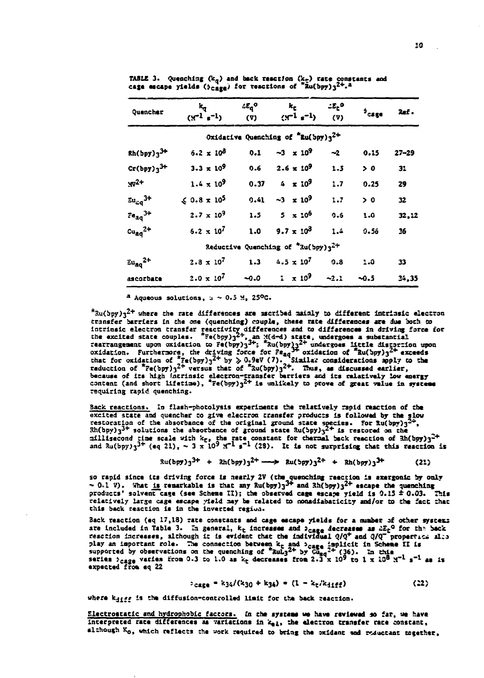| Quencher                                | $\mathbf{k}_\mathbf{q}$<br>$(Y^{-1} s^{-1})$ | $4E_q^o$<br>(Y) | $k_{\rm E}$ and $k_{\rm E}$<br>$(x^{-1} s^{-1})$            | $\mathcal{L}E_{\rm E}^{\rm O}$<br>$(\mathbf{v})$ | $^3$ cage | <b>Ref</b> . |
|-----------------------------------------|----------------------------------------------|-----------------|-------------------------------------------------------------|--------------------------------------------------|-----------|--------------|
|                                         |                                              |                 | Oxidative Quenching of $\sqrt[4]{2}$ Ru(bpy)3 <sup>2+</sup> |                                                  |           |              |
| $Rh(bpy)$ <sub>3</sub> <sup>3+</sup>    | $6.2 \times 10^{3}$                          | 0.1             | $-3 \times 10^9$                                            | $-2$                                             | 0.15      | $27 - 29$    |
| $Cr(bpy)_3^3$ +                         | $3.3 \times 10^9$                            | 0.6             | $2.6 \times 10^9$                                           | 1.5                                              | > 0       | 31           |
| $M^{2+}$                                | $1.4 \times 10^9$                            | 0.37            | $4 \times 10^9$                                             | 1.7                                              | 0.25      | 29           |
| $\epsilon_{u_{\alpha q}}$ <sup>3+</sup> | $\le 0.8 \times 10^5$                        |                 | $9.41 -3 \times 10^9$                                       | 1.7                                              | > 0       | 32           |
| $Fe_{ag}^{3+}$                          | $2.7 \times 10^9$                            | 1.5             | $5 \times 10^6$                                             | 0.6                                              | 1.0       | 32,12        |
| $cu_{aa}^2$ <sup>2+</sup>               | $6.2 \times 10^7$                            | 1.0             | $9.7 \times 10^3$                                           | 1.4                                              | 0.56      | 36           |
|                                         |                                              |                 | Reductive Quenching of $\sqrt[4]{3}u(\frac{1}{2}py)3^{2+}$  |                                                  |           |              |
| $\bar{c}u_{\alpha\alpha}^{2+}$          | $2.8 \times 10^7$                            | 1.3             | $4.5 \times 10^7$                                           | 0.8                                              | 1.0       | 33           |
| ascorbate                               |                                              |                 | $2.0 \times 10^7$ ~0.0 1 $\times 10^9$ ~2.1                 |                                                  | $-0.5$    | 34,35        |

TABLE 3. Quenching  $(k_q)$  and back resorion  $(k_q)$  rate constants and cage encape yields  $(\phi_{cage})$  for reactions of  $^*$ Zu $(bpy)$ <sub>3</sub><sup>2+</sup>.<sup>2</sup>

<sup>a</sup> Aqueous solutions,  $u \sim 0.5$  M, 25°C.

 $*$ Ru(bpy) $3^{2+}$  where the rate differences are ascribed mainly to different intrinsic electron transfer barriers in the one (quenching) couple, these rate differences are due both to cransfer partiers in the one (quenching) couple, these rate directences are one point to<br>intrinsic electron transfer resctlvity differences and to differences in driving force for<br>the excited state couples.  ${}^{2}$ E(bpy)<sub>3</sub> because of its high intrinsic electron-transfer berriers and its relatively low energy<br>content (and short lifetime),  $*Fe(bpy)g^{2+}$  is unlikely to prove of great value in systems requiring rapid quenching.

Back reactions. In flash-photolysis experiments the relatively rapid reaction of the excited state and quencher to give electron transfer products is followed by the slow<br>restoration of the absorbance of the original ground state species. For  $\frac{3}{2}$  and  $\frac{3}{2}$  restoration of the absorbance of the or millisecond time scale with  $k_f$ , the rate constant for thermal back reaction of  $\frac{2}{3}$  and  $\frac{2}{3}$  (eq 21),  $\sim 3 \times 10^9$   $\frac{1}{3}$  s<sup>-1</sup> (23). It is not surprising that this reaction is

> $3u(bpy)3^{3+}$  +  $3h(bpy)3^{2+}$   $\longrightarrow$   $8u(bpy)3^{2+}$  +  $8h(bpy)3^{3+}$  $(21)$

so rapid since its driving force is nearly 2V (the quenching reaction is axergonic by only  $\sim 0.1$  V). What is remarkable is that any Ru(bpy)<sub>3</sub><sup>3+</sup> and Rh(bpy)<sub>3</sub><sup>2+</sup> escape the quenching products' solvent cage (see Sch relatively large cage escape yield may be related to nonadiabaticity and/or to the fact that this back reaction is in the inverted region.

Back reaction (eq 17,18) rate constants and cage escape yields for a number of other systems are included in Table 3. In general,  $k_t$  increases and  $\frac{1}{2}$  decreases as  $\frac{1}{2}$  for the back<br>reaction increases, although it is evident that the individual  $q/q^+$  and  $q/q^-$  properties also play an important role. The connection between  $k_f$  and  $\log k$  is individual with an important role. The connection between  $k_f$  and  $\log k$  is indicate if is supported by observations on the quenching of  $\frac{24}{100}$  by  $\log$ expected from eq 22

$$
c_{\text{case}} = k_34/(k_30 + k_34) = (1 - k_1/k_3 \cdot \epsilon_f)
$$
 (22)

where kairs is the diffusion-controlled limit for the back reaction.

Electrostatic and hydrophobic factors. In the systems we have reviewed so far, we have interpreted rate differences as variations in kel, the electron transfer rate constant, although Ko, which reflects the work required to bring the oxidant and reductant together,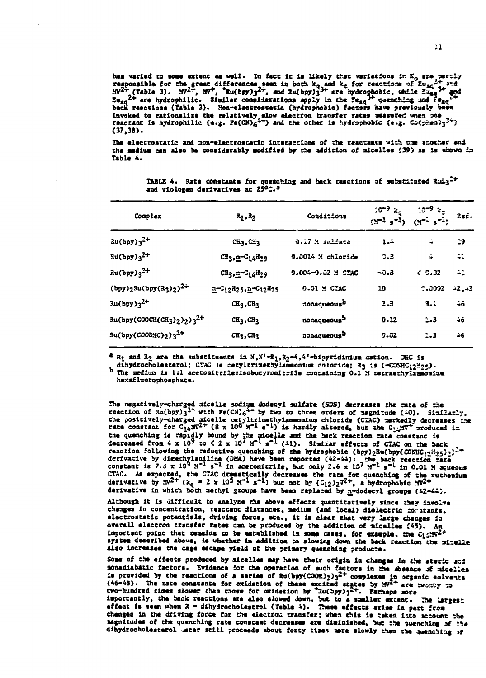has varied to some extent as well. In fact it is likely that variations in  $K_0$  are partly<br>responsible for the great differences seen in both  $k_0$  and  $k_0$  for reactions of  $\sum_{3c} 2^+$  and<br> $Nl^{2+}$  (Table 3).  $Nl^2$ , invoked to rationalize the relatively slow electron transfer rates measured when one reactant is hydrophilic (e.g.  $Fe(CN)_{6}^{4-}$ ) and the other is hydrophobic (e.g.  $Co(p)$ sm) $3^{2+}$ )  $(37, 38)$ .

The electrostatic and non-electrostatic interactions of the reactants with one another and the medium can also be considerably modified by the addition of micelles (39) as is shown in Table 4.

| Complex                                                          | $R_1, R_2$                                          | Conditions              | $10^{-9}$ $xq$<br>$(M^{-1} s^{-1})$ | ეე−9∶<br>$(9 - 1)$ $5 - 1$ | Ref.    |  |
|------------------------------------------------------------------|-----------------------------------------------------|-------------------------|-------------------------------------|----------------------------|---------|--|
| $x_0(bpy)_3^2$ +                                                 | CH <sub>1</sub> , CH <sub>3</sub>                   | 0.17 M sulfate          | $1 - 4$                             | ÷                          | 23      |  |
| $34(bpy)3^{2+}$                                                  | CH <sub>3</sub> , n-C <sub>14</sub> H <sub>29</sub> | 0.0014 M chloride       | 0.3                                 | å                          | $-11$   |  |
| $Ru(bpy)_{3}^{2+}$                                               | CH3.2-C14H29                                        | 9.004-9.02 M CTAC       | -ე.კ                                | & 2.32                     | $-1$    |  |
| $(bpy)_{2}$ Ru(bpy(R <sub>3</sub> ) <sub>2</sub> ) <sup>2+</sup> | a-C12825, a-C12825                                  | $0.01$ M $CAC$          | 10                                  | 0.0002                     | $-2.43$ |  |
| $Ru(bpy)3^{2+}$                                                  | $CH3$ , $CH3$                                       | nonaqueous <sup>b</sup> | 2.3                                 | 3.1                        | 46      |  |
| $Ru(bpy(C00CH(CH3)2)32+$                                         | CH <sub>3</sub> , CH <sub>3</sub>                   | aonaqueous <sup>5</sup> | 0.12                                | 1.3                        | $-5$    |  |
| $Ru(bpy(COODNC)_2)^{2^+}$                                        | CH <sub>3</sub> , CH <sub>3</sub>                   | nonaqueousb             | $9 - 32$                            | 1.3                        | Δã      |  |

TABLE 4. Rate constants for quenching and back reactions of substituted  $Rultx<sup>2+</sup>$ and viologen derivatives at 25°C.<sup>2</sup>

 $2 R_1$  and  $R_2$  are the substituents in  $N_1N'-R_1$ ,  $2s-4$ ,  $4'-b$ ipyridinium cation. He is

dihydrocholesterol; CTAC is cetyltrinethylamonium chloride; R3 is (-CONHC12H25). b The medium is 1:1 acetonicrile:isobutyronicrile containing 0.1 X tetraethylamonius hexafluorophosphate.

The negatively-charged sidelle sodium dodecyl sulfate (SDS) decreases the rate of the reaction of  $Ru(bpy)_3^{3+}$  with  $Fe(CN)_6^{4+}$  by two to three orders of sagnitude (40). Similarly, the positively-charged aicelle cetyltrinethylamonium chloride (CTAC) carkedly decreases the rate constant for  $C_{14}$ NV<sup>2+</sup> (8 x 10<sup>8</sup> N<sup>-1</sup> s<sup>-1</sup>) is hardly altered, but the  $C_{14}$ NV<sup>+</sup> produced in the quenching is rapidly bound by the nicelle and the back reaction rate constant is<br>decreased from  $4 \times 10^9$  to  $\le 2 \times 10^7$   $\text{K}^{-1}$  s<sup>-1</sup> (41). Similar effects of CTAC on the back reaction following the reductive quenching of the hydrophobic (bpy)22u(bpy(CCNHC125)2)2<sup>2+</sup> derivative by directlylaniline (DMA) have been reported  $(42-44)$ : the back reection rate<br>constant is 7.3 x 10<sup>9</sup> M<sup>-1</sup> s<sup>-1</sup> in acetonitrile, but only 2.6 x 10<sup>7</sup> M<sup>-1</sup> s<sup>-1</sup> in 0.01 M squeous CTAC. As expected, the CTAC dramatically decreases the rate for quenching of the ruthenium<br>derivative by  $N^{2+}$  ( $k_q = 2 \times 10^5$   $N^{-1}$  s<sup>-1</sup>) but not by  $(C_{12})_2 \nu^{2+}$ , a hydrophobic  $N^{2+}$ derivative in which both methyl groups have been replaced by n-dodecyl groups (42-44).

Although it is difficult to analyze the above effects quantitatively since they involve changes in concentration, reactant distances, medium (and local) dielectric constants, electrostatic potentials, driving force, etc., it is clear that wary large changes in overall electron transfer rates can be produced by the addition of micelles (45). An important point that remains to be established in some cases, for example, the  $\hat{c}_1$   $\sqrt{N^2+1}$ system described above, is whether in addition to slowing down the back reaction the ninelle also increases the cage escape yield of the primary quenching producte.

Some of the effects produced by aicelles may have their origin in changes in the steric and nonadiabatic factors. Evidence for the operation of such factors in the absence of nicelles is provided by the reactions of a series of Ru(bpy(COR)<sub>2</sub>)<sup>2+</sup> complexes in ownce or micrises is provided by the reactions of a series of Ru(bpy(COR)<sub>2</sub>)<sup>2+</sup> complexes in organic solvents (46-48). The rate constants for importantly, the back reactions are also slowed down, but to a smaller extent. The largest effect is seen when  $3$  = dihydrocholestrol (feble 4). These effects arise in part from changes in the driving force for the electrou transfer; when this is taken into account the nagnitudes of the quenching rate constant decreases are diminished, but the quenching of the dihydrocholesterol matar still proceeds about forty times more slowly than the quenching of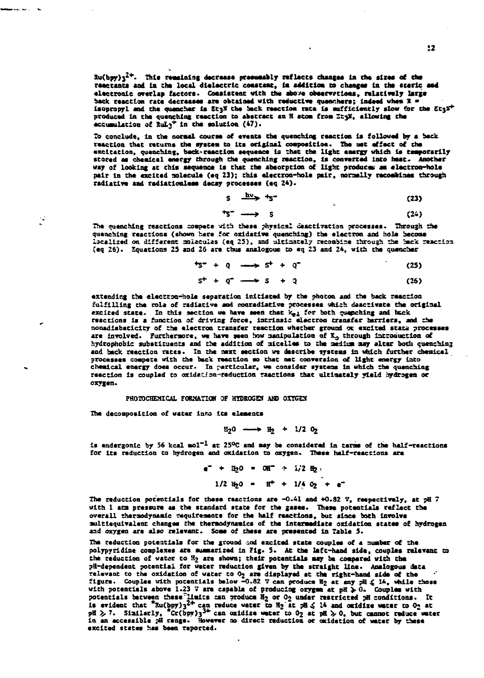$2u(bpy)u^{2+}$ . This remaining decrease presumably reflects changes in the sizes of the reactints and in the local dielectric constant, in addition to changes in the steric and electronic overlap factors. Consistent with the above observations, relatively large back reaction rate decreases are obtained with reductive quenchers; indeed when R = isopropyl and the quancher is EtaX the back reaction rate is sufficiently slow for the EtaX+ produced in the quenching reaction to abstract an H atom from Etyl, allowing the accumulation of RuL $x^2$  in the solution (47).

To conclude, in the normal course of events the quenching reaction is followed by a back reaction that returns the system to its original composition. The met effect of the excitation, quenching, back-reaction sequence is that the light energy which is temporarily stored as chesical energy through the quenching reaction, is converted into heat. Another<br>way of looking at this sequence is that the absorption of light produces as electron-hole pair in the excited molecule (eq 23); this electron-hole pair, normally recombines through radiative and radiationless decsy processes (eq 24).

 $\mathbf{r}$ 

$$
S \xrightarrow{\text{div}} \uparrow S^{\text{-}} \tag{23}
$$

$$
^{+5-} \longrightarrow 5 \tag{24}
$$

The quenching reactions compete with these physical deactivation processes. Through the quenching reactions (shown here for oxidative quenching) the electron and hole become localized on different molacules (eq 25), and ultimately recombine through the back reaction (eq 26). Equations 25 and 26 are thus analogous to eq 23 and 24, with the quencher

$$
t_{5}^{\bullet} + 0 \longrightarrow 5^{\dagger} + 0^{\bullet} \tag{25}
$$

$$
S^+ + Q^- \longrightarrow S + Q \tag{26}
$$

extending the electron-hole separation initiated by the photon and the back reaction fulfilling the role of radiative and monradiative processes which deactivate the original excited state. In this section we have seen that  $k_{eL}$  for both quanching and back reactions is a function of driving force, intrinsic electron transfer barriers, and the nonadiabaticity of the electron transfer reaction whether ground or excited state processes are involved. Furthermore, we have seen how manipulation of X<sub>o</sub> through introduction of hydrophobic substituents and the addition of micelles to the medium may alter both quenching and back reaction rates. In the next section we describe systems in which further chemical processes compete with the back reaction so that net conversion of light energy into chemical energy does occur. In particular, we consider systems in which the quenching reaction is coupled to oxidation-reduction raactions that ultimately yield hydrogen or oxygen.

# PHOTOCHEMICAL FORMATION OF HYDROGEN AND OXYGEN

The decomposition of water into its elements

 $\mathcal{C}$ 

$$
\mathfrak{L}_2 0 \longrightarrow \mathfrak{L}_2 + 1/2 \, 0_2
$$

is endergonic by 56 kcal mol<sup>-1</sup> at 25<sup>o</sup>C and may be considered in terms of the half-reactions for its reduction to hydrogen and oxidation to oxygen. These half-reactions are

$$
e^- + 11/2 = 011^{\circ} + 1/211/2
$$
  
1/2 11/2 11/2 = 11^{\circ} + 1/4 0<sup>2</sup> + e<sup>-</sup>

The reduction potentials for these reactions are -0.41 and +0.82  $\%$ , respectively, at pH 7 with 1 amm pressure as the standard state for the gases. These potentials reflect the overall thermodynamic requirements for the half reactions, but since both involve multiequivalent changes the thermodynamics of the intermediate oxidation states of hydrogen and oxygen are also relevant. Some of these are presented in Table 5.

The reduction potentials for the ground and excited state couples of a number of the polypyridine complexes are summarized in Fig. 5. At the left-hand side, couples relevant to the reduction of water to H<sub>2</sub> are shown; their potentials may be compared with the pH-dependent potential for water reduction given by the straight line. Analogous data relevant to the oxidation of water to 02 are displayed at the right-hand side of the figure. Couples with potentials below -0.82 V can produce  $\mathbb{E}_2$  at any  $\mathbb{P}\{ \leq 14$ , while those with potentials above 1.23 V are potentials between these limits can produce  $\frac{3}{2}$  or  $0_2$  under restricted pH conditions. It is evident that  ${}^n$ Su(bpy)<sub>3</sub><sup>2+</sup> can reduce vater to  $H_2$  at  $2\pi$  of  $\frac{3}{2}$  to  $\frac{3}{2}$  to an original that  ${}^n$ S excited states has been reported.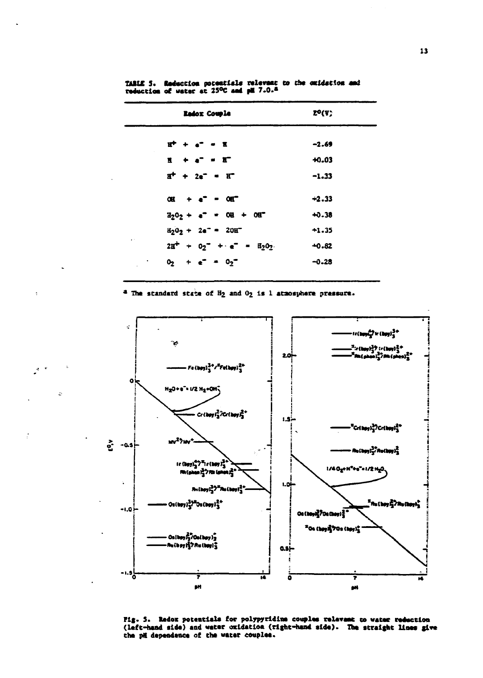|                 | <b>Redox Couple</b>                                              | EO(V)   |
|-----------------|------------------------------------------------------------------|---------|
|                 | $\mathbf{r}^+ + \mathbf{e}^- = \mathbf{r}$                       | $-2.69$ |
|                 | $\mathbf{H} + \mathbf{e}^{\mathbf{T}} = \mathbf{H}^{\mathbf{T}}$ | $+0.03$ |
|                 | $B^+ + 2e^- - E^-$                                               | $-1.33$ |
|                 | $OE + e^{2} = OE^{2}$                                            | $-2.33$ |
|                 | $\frac{1}{202} + e^2 = 00 + 00$                                  | $+0.38$ |
|                 | $H_2O_2 + 2e^- = 20H^-$                                          | $+1.35$ |
| $\epsilon^{-1}$ | $2H^+ + 02^- + 1 = H_202$ .                                      | $+0.82$ |
|                 | $0_2$ + $e^-$ = $0_2$                                            | $-0.28$ |

TARLE 5. Reduction potentials relevant to the omidation and reduction of water at 25°C and pH 7.0.4

<sup>4</sup> The standard state of H<sub>2</sub> and O<sub>2</sub> is 1 atmosphere pressure.



Fig. 5. Redox potentials for polypyridine couples relevant to water reduction (left-hand side) and water oxidation (right-hand side). The straight lines give the pit dependence of the water couples.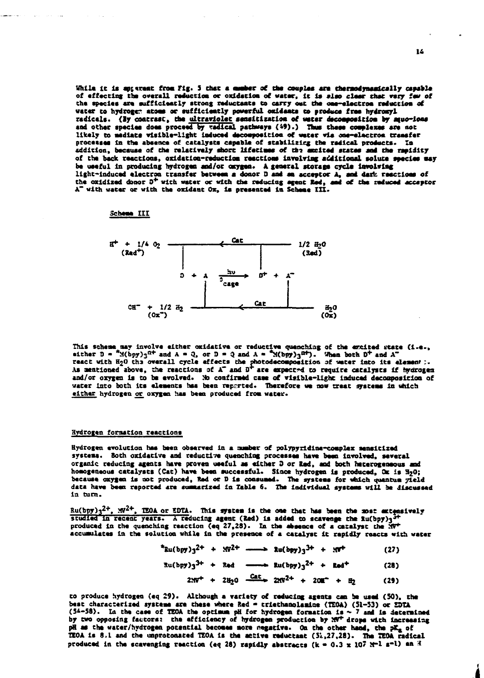While it is aptarent from Fig. 5 that a quaber of the couples are thermodynamically capable of effecting the overall reduction or oxidation of water, it is also clear that very few of the species are sufficiently strong reductants to carry out the one-electron reduction of water to hydrogen atoms or sufficiently powerful oxidants to produce free hydroxyl radicals. (By contrast, the ultraviolet sensitization of water decomposition by muo-ions and other species does proceed by vadical pathways (49).) Thus these complexes are not<br>likely to mediate visible-light induced decomposition of water via one-electron transfer processes in the absence of catalysts capable of stabilizing the radical products. In addition, because of the relatively short lifetimes of the aucited states and the rapidity of the back reactions, oxidation-reduction reactions involving additional solute seecies may be useful in producing hydrogen and/or oxygen. A general storage cycle involving light-induced electron transfer between a donor D and an acceptor A, and dark reactions of<br>the oxidized donor D<sup>+</sup> with water or with the reducing agent Red, and of the reduced acceptor A" with water or with the oxidant Ox, is presented in Scheme III.

Scheme III



This scheme may involve either oxidative or reductive quenching of the excited state (i.e., either D =  $^{4}$  M(bpy)<sub>3</sub><sup>n+</sup> and A = Q, or D = Q and A =  $^{4}$ M(bpy)<sub>3</sub><sup>n+</sup>). When both D<sup>+</sup> and A<sup>-</sup> react with H2O the overall cycle effects the photodecomposition of water into its element :.<br>As mentioned above, the reactions of A" and D" are expected to require catalysts if hydrogen and/or oxygen is to be evolved. No confirmed case of visible-light induced decomposition of water into both its elements has been reported. Therefore we now treat systems in which either hydrogen or oxygen has been produced from water.

### **Hydrogen formation reactions**

Hydrogen evolution has been observed in a number of polypyridine-complex sensitized systems. Both oxidative and reductive quenching processes have been involved, several organic reducing agents have proven useful as either D or Red, and both heterogeneous and homogeneous catalysts (Cat) have been successful. Since hydrogen is produced, OK is H2O; because oxygen is not produced, Red or D is consumed. The systems for which quantum vield data have been reported are summarized in Table 6. The individual systems will be discussed in turn.

 $\frac{Ru(bpy)}{3^{2+}}$ ,  $\frac{W^{2+}}{2}$ , IEOA or EDTA. This system is the one that has been the most extensively studied in recent years. A reducing agent (Red) is added to scavenge the fu(bpy)<sub>3</sub><sup>3+</sup> produced in the quenching reaction (eq 27,28). In the absence of a catalyst the MV+ accumulates in the solution while in the presence of a catalyst it rapidly reacts with water

> $*<sub>Ru</sub>(by) <sub>1</sub>2<sup>+</sup> + 90<sup>2+</sup>$  - and  $<sub>1</sub>2<sup>+</sup> + 90<sup>+</sup>$ </sub>  $(27)$

 $Ru(bpy)_{3}^{3+} + Red$  -  $Red$  -  $Lu(bpy)_{3}^{2+} + Red^{+}$  $(28)$  $2xy^{+} + 28y^{0} - \frac{Cat}{ }$   $2xy^{2+} + 200^{+} + 8y^{0}$  $(2)$ 

to produce hydrogen (eq 29). Although a variety of reducing agents can be used (50), the best characterized systems are these where Red = triethanolamine (TEOA) (51-53) or EDTA (54-58). In the case of TEOA the optimum pH for hydrogen formation is  $\sim$  7 and is determined<br>by two opposing factors: the efficiency of hydrogen production by  $25^{\circ}$  are with increasing pH as the water/hydrogen potential becomes more negative. On the other hand, the pK<sub>a</sub> of IEOA is 8.1 and the unprotonated IEOA is the active reductant (51,27,28). The IEOA radical produced in the scavenging reaction (eq 28) rapidly abstracts (k = 0.3 x 107  $x^{-1}$  s<sup>-1</sup>) an H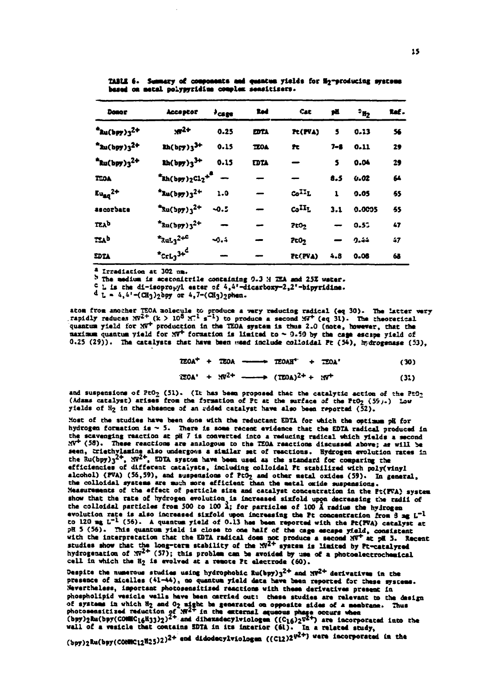| <b>Donor</b>                            | <b>Acceptor</b>                            | $^3$ cage | Red         | Cat                | pä           | $\cdot$ <sub>H<sub>2</sub></sub> | Ref. |
|-----------------------------------------|--------------------------------------------|-----------|-------------|--------------------|--------------|----------------------------------|------|
| $a_{\text{Au}}(b_{\text{P7}})_{3}^{2+}$ | $.72 +$                                    | 0.25      | <b>EDTA</b> | Pt(PVA)            | 5            | 0.13                             | 56   |
| $*$ ku(bpy)3 <sup>2+</sup>              | $2h(bF7)3^{3+}$                            | 0.15      | <b>TEOA</b> | Pt.                | $7 - 8$      | 0.11                             | 29   |
| $*$ Ru(bpy)3 <sup>2+</sup>              | $2h(bpy)3^{3+}$                            | 0.15      | <b>EDTA</b> |                    | 5            | 0.04                             | 29   |
| <b>TEOA</b>                             | $*kh(bpy)_{2}c1_{2}+8$ -                   |           |             |                    | 8.5          | 0.02                             | 64   |
| $Eu_{ad}$ <sup>2+</sup>                 | $4xu(bpy)3^{2+}$                           | 1.0       |             | co <sup>II</sup> L | $\mathbf{1}$ | 0.05                             | 65   |
| ascorbate                               | $x^{2}$ xu(bpy) <sub>3</sub> <sup>2+</sup> | $-0.5$    |             | co <sup>II</sup> L | 3.1          | 0.0005                           | 55   |
| TEAD                                    | $*$ 3u(bpy)3 <sup>2+</sup>                 |           |             | 200 <sub>2</sub>   |              | 0.52                             | 47   |
| ESAb                                    | $*_{\text{Rul}_3}$ <sup>2+C</sup>          | $-0.4$    |             | 2c0 <sub>2</sub>   |              | 9.44                             | 47   |
| EDTA                                    | $*$ CrL <sub>3</sub> 3+ <sup>d</sup>       |           |             | Pt(PVA)            | 4.8          | 0.06                             | 63   |

TABLE 6. Summary of components and quantum yields for H2-producing systems based on metal polypyridius complex sensitisers.

<sup>a</sup> Irradiation at 302 nm.

 $b$  The medium is acetonicrile containing 0.3 H IEA and 25% water.

<sup>c</sup> L is the di-isopropyl ester of  $4,4'$ -dicarboxy-2,2'-bipyridine.

 $d_L = 4, 4 - (CH_3)_2$ bpy or  $4, 7 - (CH_3)_2$ phen.

atom from another TEOA molecule to produce a very reducing radical (eq 30). The latter very rapidly reduces  $NP^{2+}$  (k > 10<sup>8</sup>  $M^{-1}$  s<sup>-1</sup>) to produce a second  $NP^{+}$  (eq 31). The theoretical quantum yield for  $NP^{+}$  pro maximum quantum yield for  $NT^+$  formation is limited to  $\sim$  0.50 by the cage escape yield of  $0.25$  (29)). The catalysts that have been used include colloidal Pt (54), hydrogenase (53),

> $TEOA<sup>+</sup> + TEOA$  ---->  $TEOAH<sup>+</sup> + TEOA<sup>'</sup>$  $(30)$

$$
150A' + 10^{2+} \longrightarrow (150A)^{2+} + 10^{+}
$$
 (31)

and suspensions of PtO<sub>2</sub> (51). (It has been proposed that the catalytic action of the PtO<sub>2</sub> (Adams catalyst) arises from the formation of Pt at the surface of the PtO<sub>2</sub> (39).) Low yields of H<sub>2</sub> in the absence of an added catalyst have also been reported (52).

Most of the studies have been done with the reductant EDTA for which the optimum pH for hydrogen formation is  $\sim$  5. There is some recent evidence that the EDTA radical produced in the scavenging reaction at pH 7 is converted into a reducing radical which yields a second  $MV^+(58)$ . These reactions are analogous to the TEOA reactions discussed above; as will be seen, triethylasing also undergoes a stailar set of reactions. Hydrogen evolution rates in the Ru(bpy) $3^{2+}$ ,  $N^{2+}$ , EDTA system have been used as the standard for comparing the efficiencies of different catalysts, including colloidal Pt stabilized with poly(vinyl alcohol) (PVA) (56,59), and suspensions of PtO<sub>2</sub> and other metal oxides (59). In general, the colloidal systems are much more efficient than the metal oxide suspansions. Measurements of the effect of perticle size and catalyst concentration in the Pt(FVA) system show that the rate of hydrogen evolution is increased sixfold upon decreasing the radii of the colloidal particles from 500 to 100  $\lambda$ ; for particles of 100  $\lambda$  radius the hydrogen evolution rate is also increased sixfold upon increasing the Pt concentration from 3 ag L<sup>-1</sup> to 120 mg  $L^{-1}$  (56). A quantum yield of 0.13 has been reported with the Pt(PVA) catalyst at pH 5 (56). This quantum yield is close to one half of the cage escape yield, consistent with the interpretation that the EDTA radical does not produce a second  $NT$  at pH 3. Recent<br>studies show that the long-term stability of the  $NT^2$  system is limited by Pt-catalyzed<br>hydrogenation of  $NT^{2+}$  (57); this prob cell in which the H<sub>2</sub> is evolved at a remote Pt electrode (60).

Despite the numerous studies using hydrophobic Ru(bpy) $3^{2+}$  and  $30^{2+}$  derivatives in the presence of aicelles (41-44), no quantum yield data have been reported for these systems. Nevertheless, important photosensitized reactions with these derivatives present in phospholipid wesicle walls have been carried out: these studies are relevant to the design phosphoraphs vesical weak were more under the comparison of systems in which H<sub>2</sub> and O<sub>2</sub> zight be generated on opposite sides of a membrane. Thus<br>photosensitized reduction of  $N^{2+}$  in the external agusous phage occurs (bpy)2Ru(bpy(CONNC12H25)2)<sup>2+</sup> end didodecylviologen ((C12)2<sup>92+</sup>) were incorporated in the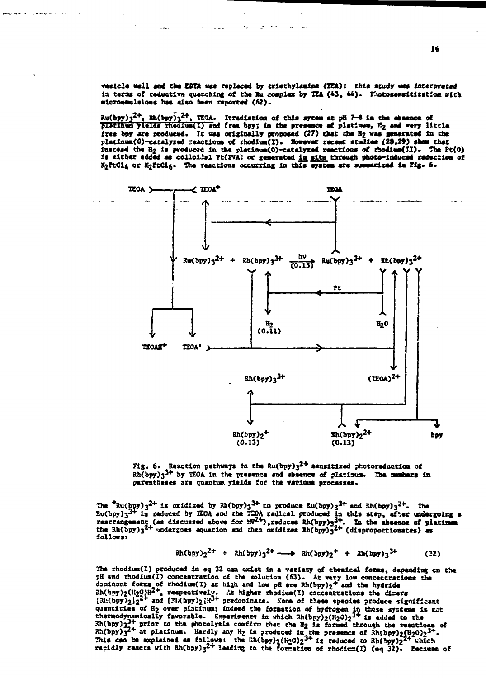vesicle wall and the ZDTA was replaced by triethylamine (TTA): this study was interpreted in terms of reductive quenching of the Ru complex by TEA (43, 44). Funtosensitization with microemulsions has also been reported (62).

 $\frac{1}{2}$  au(bpy)<sub>3</sub><sup>2+</sup>, En(bpy)<sub>3</sub><sup>2+</sup>, TECA. Itradiation of this sytem at pH 7-8 in the sheence of platinum yields rhodium(I) and free bpy; in the presence of platinum, E<sub>2</sub> and very little free boy are produced. It was originally proposed (27) that the H<sub>2</sub> was generated in the platinum(0)-catalyzed resctions of rhodium(1). However recent studies (28,29) show that instead the H<sub>2</sub> is produced in the platinum(0)-catalyzed reactions of rhodium(II). The Pt(0) is either added as colloi.lel Pt(FVA) or generated in situ through photo-induced reduction of K<sub>2</sub>PtCl<sub>4</sub> or K<sub>2</sub>PtCl<sub>6</sub>. The reactions occurring in this system are summarized in Fig. 6.



Reaction pathways in the  $Ru(bpy)3^{2+}$  sensitized photoreduction of  $Fix.6.$ Rh(bpy)3<sup>3+</sup> by IEOA in the presence and absence of platimum. The numbers in perentheses are quantum yields for the various processes.

The  $^2$ Ru(bpy)<sub>3</sub><sup>2+</sup> is oxidized by 2h(bpy)<sub>3</sub><sup>3+</sup> to produce Ru(bpy)<sub>3</sub><sup>3+</sup> and Rh(bpy)<sub>3</sub><sup>2+</sup>. The<br>Ru(bpy)<sub>3</sub><sup>3+</sup> is reduced by IEOA and the IEOA radical produced in this step, after undergoing a<br>rearrangement (as dis follows:

> $\int 2^{2+}$  +  $\int 2^{2+}$  +  $\int 2^{2+}$   $\int 3^{2+}$   $\int 3^{2+}$   $\int 3^{2+}$  +  $\int 3^{2+}$   $\int 3^{2+}$  $(32)$

The rhodium(I) produced in eq 32 can exist in a variety of chemical forms, depending on the pH and rhodium(I) concentration of the solution (63). At very low concentrations the dominant forms of rhodium(1) at high and low pH are  $2h(bpy)_2$ <sup>+</sup> and the hydride<br>Rh(bpy)<sub>2</sub>(!!20)H<sup>2+</sup>, respectively. At higher rhodium(1) concentrations the diners<br>[2h(bpy)<sub>2</sub>] $i^{2+}$  and (Rh(bpy)<sub>2</sub>] $H^{3+}$  predopinats. quantities of  $H_2$  over platinus; indeed the formation of hydrogen in these systems is not thermodynamically favorable. Experiments in which  $R(hpy)_{2}(H_2O)_{2}^{3+}$  is added to the cheracypanically ravorance. Experiments in which antopy  $y_1$  and through the reactions of  $\lambda$ h(bpy)<sub>3</sub><sup>3+</sup> prior to the photolysis confirm that the H<sub>2</sub> is formed through the reactions of  $\lambda$ h(bpy)<sub>3</sub><sup>2+</sup> at platinum.

16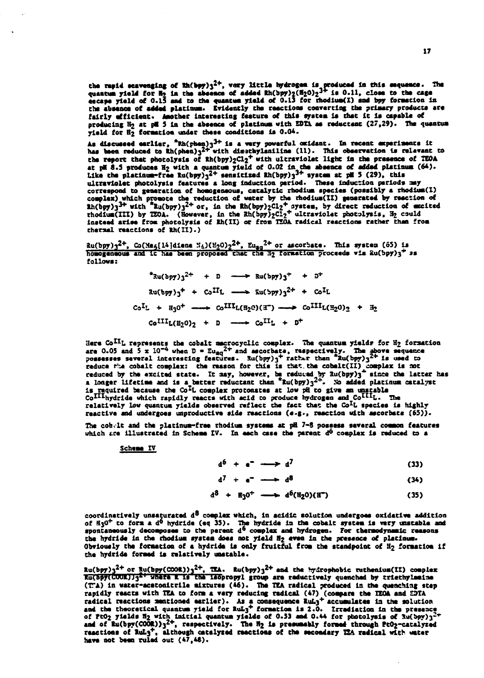the rapid scavenging of  $\frac{1}{2}$  (h(bpy)<sub>3</sub><sup>2+</sup>, very little hydrogen is produced in this sequence. The quantum yield for H<sub>2</sub> in the absence of added  $\frac{1}{2}$ (H<sub>2</sub>O)<sub>2</sub><sup>3+</sup> is 0.11, close to the cage escape yield of 0. the absence of added platinum. Evidently the reactions converting the primary products are fairly different. Another interesting feature of this system is that it is capable of<br>producing H<sub>2</sub> at pH 5 in the absence of platinum with EDTA as reductant (27,29). The quantum<br>yield for H<sub>2</sub> formation under these condi

As discussed earlier, "Rh(phen) $3^{3+}$  is a wery powerful oxidant. In recent experiments it<br>has been reduced to Rh(phen) $3^{2+}$  with disstribution (11). This observation is relevant to<br>the report that photolysis of Rh(bpy the report that photolysis of Rh(bpy)<sub>2</sub>Cl<sub>2</sub><sup>T</sup> with ultraviolet light in the presence of TEOA<br>at pH 8.5 produces H<sub>2</sub> with a quantum yield of 0.02 in the absence of added platinum (64).<br>Like the platinum-free Ru(bpy)<sub>3</sub> thermal reactions of Rh(II).)

 $\frac{1}{2}$  au(bpy)<sub>3</sub><sup>2+</sup>, Co(Me<sub>5</sub>[14]diene M<sub>4</sub>)(H<sub>2</sub>O)<sub>2</sub><sup>2+</sup>, Eu<sub>30</sub><sup>2+</sup> or ascorbate. This system (65) is<br>homogeneous and it has been proposed that the H<sub>2</sub> formation proceeds via 2u(bpy)<sub>3</sub><sup>+</sup> as  $follows:$ 

> $*$ 3u(bpy)3<sup>2+</sup> + D - P 8u(bpy)3<sup>+</sup> + D<sup>+</sup>  $\text{Ru(bpy)}_3^+ + \text{Co}^{\text{II}}\text{L} \longrightarrow \text{Eu(bpy)}_3^{2+} + \text{Co}^{\text{I}}\text{L}$  $C_0$ <sup>I</sup>L +  $\text{H}_3$ 0<sup>+</sup> ---  $C_0$ <sup>III</sup>L(H<sub>2</sub>0)(I<sup>-</sup>) -->  $C_0$ <sup>III</sup>L(H<sub>2</sub>0)<sub>2</sub> + H<sub>2</sub>  $Co^{III}L(H_{2}0)_{2} + D$  --->  $Co^{II}L + D^{+}$

Here Co<sup>II</sup>L represents the cobalt mecrocyclic complex. The quantum yields for H<sub>2</sub> formation<br>are 0.05 and 5 x 10<sup>-4</sup> when D = Eu<sub>dQ</sub><sup>2+</sup> and ascorbate, respectively. The above sequence<br>possesses several interesting featu is required because the Co<sup>IL</sup> complex protonates at low pil to give an unstable<br>Co<sup>III</sup>hydride which rapidly reacts with acid to protonates at low pil to give an unstable<br>Co<sup>III</sup>hydride which rapidly reacts with acid to p reactive and undergoes unproductive side reactions (e.g., reaction with ascorbate (65)).

The cobelt and the platinum-free thodium systems at pH 7-8 possess several common features which are illustrated in Scheme IV. In each case the parent do complex is reduced to a

Scheme IV

 $d^6$  +  $e^ \longrightarrow$   $d^7$  $(33)$ 

$$
d^7 + e^- \longrightarrow d^8 \tag{34}
$$

$$
d^3 + H_3 0^+ \longrightarrow d^6(H_2 0)(H^2) \tag{35}
$$

coordinatively unsaturated d<sup>8</sup> complex which, in acidic solution undergoes oxidative addition of H<sub>3</sub>O<sup>+</sup> to form a d<sup>6</sup> hydride (eq 35). The hydride in the cobalt system is very unstable and<br>spontaneously decomposes to the perent d<sup>6</sup> complex and hydrogen. For thermodynamic reasons the hydride in the rhodium system does not yield H2 even in the presence of platinum. Obviously the formation of a hydride is only fruitful from the standpoint of H2 formation if the hydride formed is relatively unstable.

 $\text{Ru(bpy)}_3^{2+}$  or  $\text{Ru(bpy(COOR))^3}^{2+}$ , TEA.  $\text{Ru(bpy)}_3^{2+}$  and the hydrophobic ruthenium(II) complex Ru(Spy(COOR))<sup>21</sup> VRSTE R 18 the 185propyl group are reductively quenched by triethylesine<br>(TA) in water-acetonitrile mixtures (46). The TEA radical produced in the quenching step (i.e.) In wear-west-burstering mixtures (wo). Ine ink resident produces in the quenching step<br>rapidly reactions mationed earlier). As a consequence fluid (compare the EDA and EDTA<br>and the theoretical quantum yield for Rul have not been ruled out (47,46).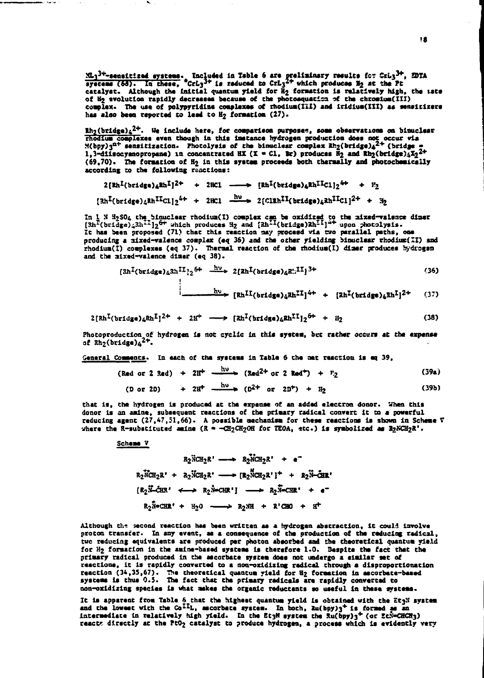$\frac{31}{2}$ -sensitized systems. Included in Table 6 are preliminary results for Cri<sub>3</sub><sup>3+</sup>, EDTA systems (68). In these,  $CcL_3^{3+}$  is reduced to  $CcL_3^{2+}$  which produces  $H_2$  at the Pt catalyst. Although the initial q of H<sub>2</sub> avolution rapidly decreases because of the photosquation of the chromium(III) complex. The use of polypyridine complexes of rhodium(III) and iridium(III) as sensitizers has also been reported to lead to  $H_2$  formation (27).

 $\hbar_2(\text{bridge})_4^{2+}$ . We include here, for comparison purposes, some observations on binuclear  $\frac{1}{2}$   $\frac{1}{2}$   $\frac{1}{2}$   $\frac{1}{2}$   $\frac{1}{2}$   $\frac{1}{2}$   $\frac{1}{2}$   $\frac{1}{2}$   $\frac{1}{2}$   $\frac{1}{2}$   $\frac{1}{2}$   $\frac{1}{2}$   $\frac{1}{2}$   $\frac{1}{2}$   $\frac{1}{2}$   $\frac{1}{2}$   $\frac{1}{2}$   $\frac{1}{2}$   $\frac{1}{2}$   $\frac{1}{2}$   $\frac{1}{2}$   $\frac{1}{2}$   $(69,70)$ . The formation of  $H_2$  in this system proceeds both thermally and photochemically according to the following reactions:

$$
2[\text{Rh}^{1}(\text{bridge})_{4}\text{Rh}^{1}]^{2+} + 2\text{HCl} \longrightarrow [\text{Rh}^{1}(\text{bridge})_{4}\text{Rh}^{1}\text{H}^{1}]_{2}^{4+} + \text{P}_{2}
$$

$$
\frac{[\text{Rh}^{1}(\text{bridge})_{4}\text{Rh}^{1}\text{H}^{1}\text{H}^{1}]}{2}^{4+} + 2\text{HCl} \longrightarrow 2[\text{CH}^{1}\text{H}^{1}(\text{bridge})_{4}\text{Sh}^{1}\text{H}^{1}\text{H}^{1}]_{2}^{2+} + \text{F}_{2}
$$

In 1 N H<sub>2</sub>SO<sub>4</sub> the binuclear rhodium(I) complex can be oxidized to the mixed-valence dimer  $[3h^L(\text{bridge})_43h^{L1}]_2^{6+}$  which produces H<sub>2</sub> and  $[3h^{L1}(\text{bridge})3h^{L1}]_1^{4+}$  upon photolysis. It has been proposed (71) that this reaction may proceed via two parallel paths, one producing a mixed-valence complex (eq 36) and the other yielding binuclear rhodium(II) and rhodium(I) complexes (eq 37). Thermal reaction of the rhodium(I) dimer produces hydrogen and the mixed-valence dimer (eq 38).

$$
\left\{\n\frac{2h^I(\text{bridge})_4 2h^{II}i_2^6 + \frac{h\nu}{2} \cdot 2\left[\n\frac{2h^I(\text{bridge})_4 2h^{II}i_1^3 + \cdots}{2h^2}\n\right]\n\right\}
$$

$$
h^{0} \rightarrow [Rh^{II}(bridge)_{4}Rh^{II}]^{4+} + [Rh^{I}(bridge)_{4}Sh^{I}]^{2+} \qquad (37)
$$

$$
2[\text{Rh}^{I}(\text{bridge})_{4}\text{Rh}^{I}]^{2+} + 2\text{H}^{+} \longrightarrow [\text{Rh}^{I}(\text{bridge})_{4}\text{Rh}^{I}^{I}]_{2}\text{H}^{+} + \text{H}_{2}
$$
 (38)

Photoproduction of hydrogen is not cyclic in this system, but rather occurs at the expense of  $Rh_2(bridge)_4^{2+}$ .

General Comments. In each of the systems in Table 6 the mat reaction is eq 39,

 $\mathbf{L}$ 

 $\mathbf{f}$ 

$$
(Red \text{ or } 2 \text{ 3ad}) + 2H^+ \xrightarrow{RV} (3ad^{2+} \text{ or } 2 \text{ 3ad}^+) + P_2
$$
 (39a)

$$
(D \text{ or } 2D) + 2H^+ \xrightarrow{0 \text{ to } 2D^+} (D^{2+} \text{ or } 2D^+) + H_2
$$
 (39b)

that is, the hydrogen is produced at the expense of an added electron donor. When this donor is an amine, subsequent reactions of the primary radical convert it to a powerful<br>reducing agent  $(27, 47, 51, 66)$ . A possible mechanism for these reactions is shown in Scheme V where the R-substituted amine  $(R = -CH_2CH_2OH$  for TEOA, etc.) is symbolized as  $32NCH_2R'$ .

# Scheme V

محاضره المو

$$
R_2\overset{\circ}{M}CH_2R' \longrightarrow R_2\overset{\circ}{M}CH_2R' + e^-
$$
  
\n
$$
R_2\overset{\circ}{M}CH_2R' + R_2\overset{\circ}{M}CH_2R' \longrightarrow (R_2\overset{\circ}{M}CH_2R')^+ + R_2\overset{\circ}{M}-\overset{\circ}{GH}R'
$$
  
\n
$$
[R_2\overset{\circ}{M}-\overset{\circ}{CH}R' \longleftrightarrow R_2\overset{\circ}{N}-CHR'] \longrightarrow R_2\overset{\circ}{N}-CHR' + e^-
$$
  
\n
$$
R_2\overset{\circ}{N}-CHR' + H_2O \longrightarrow R_2\overset{\circ}{M} + R'CHO + H'
$$

Although the second reaction has been written as a hydrogen abstraction, it could involve proton transfer. In any event, as a consequence of the production of the reducing radical, two reducing equivalents are produced per photon absorbed and the theoretical quantum yield for H2 formation in the amine-based systems is therefore 1.0. Despite the fact that the primary radical produced in the ascorbate system does not undergo a similar set of reactions, it is rapidly converted to a non-oxidizing radical through a disproportionation reaction (34,35,67). The theoretical quantum yield for H<sub>2</sub> formation in accorbate-based systems is thus 0.5. The fact that the primary radicals are rapidly converted to non-oxidizing species is what makes the organic reductants so useful in these systems.

It is apparent from Table 6 that the highest quantum yield is obtained with the Et3N system<br>and the lowest with the Co<sup>II</sup>L, ascorbate system. In both,  $\frac{2u(bpy)}{3}$  is formed as an<br>intermediate in relatively high yield. reacts directly at the PtO<sub>2</sub> catalyst to produce hydrogen, a process which is evidently very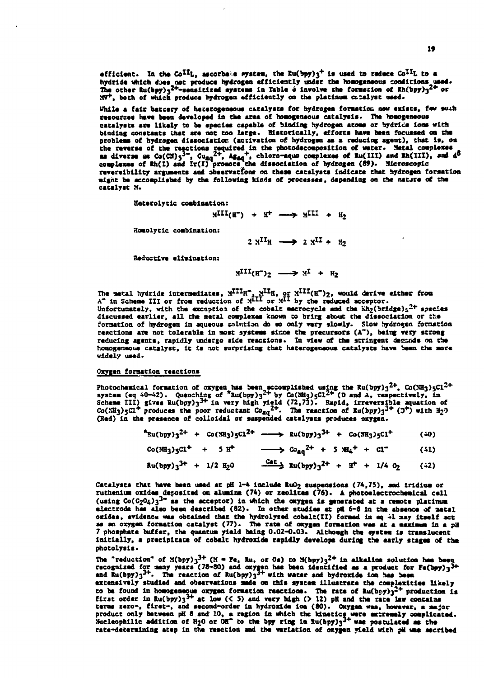efficient. In the Co<sup>II</sup>L, ascorbake system, the Ru(bpy)<sub>3</sub><sup>+</sup> is used to reduce Co<sup>II</sup>L to a hydride which dues not produce hydrogen efficiently under the homogeneous conditions used.<br>The other Ru(byy)<sub>3</sub><sup>2+</sup>-sensitized systems in Table 6 involve the formation of Rh(byy)<sub>3</sub><sup>2+</sup> or MV+, both of which produce hydrogen efficiently on the platinum catalyst used.

Vhila a fair battery of heterogeneous catalysts for hydrogen formation now exists, few such resources have been developed in the area of homogeneous catalysis. The homogeneous catalysts are likely to be species capable of binding hydrogen atoms or hydrice ions with binding constants that are not too large. Historically, efforts have been focussed on the problems of hydrogen dissociation (activation of hydrogen as a reducing agent), that is, on the reverse of the reactions required in the photodecomposition of water. Netal complexes<br>as diverse as  $Co(GS)_{5}^{3}$ ,  $Gu_{20}^{2+}$ ,  $Ag_{40}^{-}$ , chloro-aquo complexes of  $Ru(H1)$  and  $Rh(H1)$ , and  $d^{5}$ <br>complexes of  $Rh(1)$  and reversibility arguments and observations on these catalysts indicate that hydrogen formation might be accomplished by the following kinds of processes, depending on the nature of the catalyst M.

Heterolytic combination:

$$
M^{III}(B^-) + H^+ \longrightarrow M^{III} + H_2
$$

Homolytic combination:

 $2 \text{ M}^{\text{II}}$  =  $2 \text{ M}^{\text{II}}$  +  $\text{H}$ 

Reductive elimination:

$$
M^{III}(H^{\bullet})_2 \longrightarrow M^{I} + H_2
$$

The matal hydride intermediates,  $X^{III}H^T$ ,  $X^{III}H$ , or  $X^{III}(H^*)_2$ , would derive either from  $A^T$  in Scheme III or from reduction of  $X^{III}$  or  $X^{II}$  by the reduced acceptor. Unfortunately, with the exception of the cobalt macrocycle and the  $\frac{1}{2}$  of  $\frac{1}{2}$  species discussed earlier, all the netal complexes known to bring about the dissociation or the formation of hydrogen in aqueous salution do so only very slowly. Slow hydrogen formation reactions are not tolerable in most systems since the precursors (A"), being very strong reducing agents, rapidly undergo side reactions. In view of the stringent demands on the homogeneous catalyst, it is not surprising that heterogeneous catalysts have been the more widely used.

# Oxygen formation reactions

Photochemical formation of oxygen has been accomplished using the Ru(bpy)<sub>3</sub><sup>2+</sup>, Co(NH<sub>3</sub>)<sub>5</sub>Cl<sup>2+</sup><br>system (eq 40-42). Quenching of <sup>\*</sup>Ru(bpy)<sub>3</sub><sup>2+</sup> by Co(NH<sub>3</sub>)<sub>5</sub>Cl<sup>2+</sup> (D and A, respectively, in<br>Scheme III) gives Ru(

| $*$ Ru(bpy)3 <sup>2+</sup> + Co(NH3)5Cl <sup>2+</sup> | $\longrightarrow$ Ru(bpy)3 <sup>3+</sup> + Co(NH <sub>3</sub> )5C1 <sup>+</sup>                      | (40) |
|-------------------------------------------------------|------------------------------------------------------------------------------------------------------|------|
| $Co(MH_3)gCl^+ + S H^+$                               | $\longrightarrow$ $\cos_{ag}^{2+}$ + 5 $\text{NH}_4^+$ + Cl <sup>-</sup>                             | (41) |
| $Ru(bpy)_3^{3+} + 1/2 H_20$                           | $\frac{\text{Cat}}{2}$ Ru(bpy) <sub>3</sub> <sup>2+</sup> + H <sup>+</sup> + 1/4 0 <sub>2</sub> (42) |      |

Catalysts that have been used at pH 1-4 include RuO<sub>2</sub> suspensions (74,75), and iridium or ruthenium oxides deposited on alumina (74) or zeolites (76). A photoelectrochemical cell (using  $Co(C_2O_4)3^{3-}$  as the acceptor) in which the oxygen is generated at a remote platinum electrode has also been described (82). In other studies at pH 6-8 in the absence of netal oxides, evidence was obtained that the hydrolyzed cobel:(II) formed in eq 41 may itself act<br>as an oxygen formation catalyst (77). The rate of oxygen formation was at a maximum in a pd<br>7 phosphate buffer, the quantum yield initially, a precipitate of cobait hydroxide rapidly develops during the early stages of the photolysis.

The "reduction" of  $X(bpy)_{3}^{3+}$  ( $X = Fe$ , Ru, or Os) to  $X(bpy)_{3}^{2+}$  in alkaline solution has been recognized for many years (78-80) and oxygen has been identified as a product for  $\text{Fe}(\text{hyp})_3^3$ +<br>and Ru(bpy)<sub>3</sub><sup>3+</sup>. The reaction of Ru(bpy)<sub>3</sub><sup>3+</sup> with water and hydroxide ion has been extensively studied and observations ande on this system illustrate the complexities likely to be found in homogeneous oxygen formation reactions. The rate of Ru(byy)<sup>2<sup>2</sup> production is<br>first order in Ru(byy)<sup>3<sup>3+</sup> at low (< 5) and very high (> 12) pH and the rate Law contains<br>terms zero-, firet-, and second-ord</sup></sup> rate-determining atep in the reaction and the variation of oxygen vield with pil was ascribed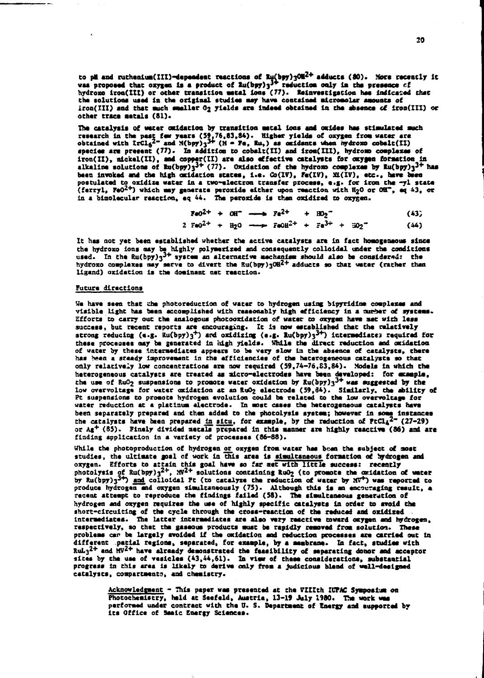to pli and ruthenium(III)-dependent reactions of  $R\mu(byy)$   $30R^{2+}$  adducts (30). More recently it was proposed that oxygen is a product of  $R\mu(byy)$  $3^{3+}$  reduction only in the presence of hydroxo iron(III) or other tran the solutions used in the original studies may have contained micromolar amounts of iron(III) and that such smaller O2 yields are indeed obtained in the absence of iron(III) or other trace metals (81).

The catalysis of water oxidation by transition metal ions and oxides has stimulated such research in the past few years (59,76,83,84). Higher yields of oxygen from water are obtained with IrCl<sub>6</sub><sup>2-</sup> and M(bpy)<sub>3</sub><sup>3+</sup> (M species are present (77). In addition to cobalt(II) and iron(III), hydromo complexes of iron(II), nickel(II), and copper(II) are also effective catalysts for oxygen formation in alkaline solutions of  $Ru(bpy)y_3^{3+}$  (77). Oxidation of the hydroxo complexes by  $Ru(bpy)y_3^{3+}$  has been invoked and the high oxidation states, i.e. Co(IV), Fe(IV), Mi(IV), etc., have been postulated to oxidize water in a two-electron transfer process, e.g. for iron the -yl state<br>(ferryl, FeO<sup>2+</sup>) which may generate peroxide either upon reaction with H<sub>2</sub>O or OH<sup>-</sup>, eq 43, or<br>in a bimolecular reaction, eq 4

$$
Fe0^{2+} + 0\text{H}^+ \longrightarrow Fe^{2+} + B0_2^- \tag{43}
$$

$$
2 \text{ Fe0}^{2+} + \text{H}_{2}0 \longrightarrow \text{Fe0}^{2+} + \text{Fe}^{3+} + \text{H}_{2}^{2-} \tag{44}
$$

It has not yet been established whether the active catalysts are in fact homogeneous since the hydroxo ions any be highly polymerized and consequently colloidal under the conditions used. In the Ru(bpy) $3^3$  system an alternative mechanism should also be considered: the hydroxo complexes may serve to divert the Ru(bpy)30H2+ adducts so that water (rather than ligand) oxidation is the dominant net reaction.

# Future directions

We have seen that the photoreduction of water to hydrogen using bipyridine complexes and visible light has been accomplished with reasonably high efficiency in a number of systems. Efforts to carry out the analogous photooxidation of water to oxygen have met with less success, but recent reports are encouraging. It is now established that the relatively success, our recent reports are encouraging. It is now welcomed that the terminal for<br>strong reducing (e.g.  $Ru(bpy)_{3}^{+}$ ) and oxidizing (e.g.  $Ru(bpy)_{3}^{3+}$ ) intermediates required for these processes any be generated in high yields. While the direct reduction and oxidation of water by these intermediates appears to be very slow in the absence of catalysts, there has been a steady improvement in the efficiencies of the heterogeneous catalysts so that<br>only relatively low concentrations are now required (59,74-76,83,84). Models in which the heterogeneous catalysts are treated as micro-electrodes have been developed: for example, the use of RuO<sub>2</sub> suspensions to promote water oxidation by  $Ru(bpy)_3$ <sup>3+</sup> was suggested by the low overvoltage for water oxidation at an RuO2 electrode (59,84). Similarly, the ability of Pt suspensions to promote hydrogen evolution could be related to the low overvoltage for water reduction at a platinum electrode. In most cases the heterogeneous catalysts have been separately prepared and then added to the photolysis system; however in some instances<br>the catalysts have been prepared in situ, for example, by the reduction of  $PcCl<sub>4</sub><sup>2-</sup> (27-29)$ <br>or  $Ag<sup>+</sup> (85)$ . Finely div finding application in a variety of processes (86-88).

While the photoproduction of hydrogen or oxygen from water has bean the subject of most studies, the ultimate goal of work in this area is simultaneous formation of hydrogen and oxygen. Efforts to attain this goal have so far met with little success: recently oxygen. Exposition of value and the solutions containing RuO<sub>2</sub> (to promote the oxidation of vater<br>by Ru(bpy)<sub>3</sub><sup>3+</sup>) and colloidal Pt (to catalyze the reduction of water by NV<sup>+</sup>) was reported to<br>produce hydrogen and oxy recent attempt to reproduce the findings failed (58). The simultaneous generation of hydrogen and oxygen requires the use of highly specific catalysts in order to avoid the short-circuiting of the cycle through the cross-reaction of the reduced and oxidized. respectively, so thet the gaseous products must be rapidly removed from solution. These problems can be largely avoided if the oxidation and reduction processes are carried out in different patial regions, separated, for example, by a membrane. In fact, studies with RuL<sub>3</sub><sup>2+</sup> and MV<sup>2+</sup> have alraady demonstrated the feasibility of separating donor and acceptor sites by the use of vesicles (43,44,61). In view of these considerations, substantial progress in this area is likely to derive only from a judicious bland of well-designed catalysts, compartments, and chemistry.

Acknowledgment - This paper was presented at the VIIIth IUPAC Symposium on Photochemistry, held at Seefeld, Austria, 13-19 July 1980. The work was performed under contract with the U.S. Department of Energy and supported by its Office of Sasic Energy Sciences.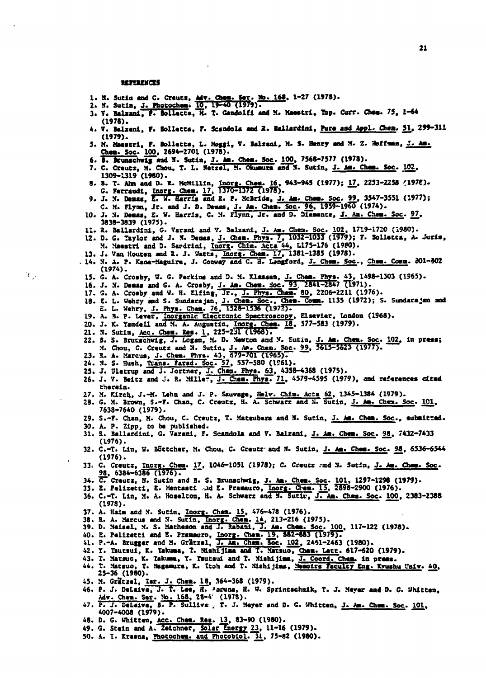# **MITMENGS**

- 
- 
- 1. N. Sutin and C. Creutz, Adv. Chem. Ser. Mo. 168, 1-27 (1978).<br>2. N. Sutin, <u>J. Photochem: 10</u>, 19-40 (1979).<br>3. V. Baizani, F. Bollatta, N. T. Gandolfi and M. Maestri, Top. Curr. Chem. 75, 1-64  $(1978)$ .
- 4. V. Balzani, F. Bolletta, F. Scandola and R. Ballardini, Pure and Appl. Chem. Sl. 299-311  $(1979).$
- 5. N. Maestri, F. Bolletta, L. Moggi, V. Balzani, M. S. Henry and M. Z. Hoffman, J. Am. Chem. Soc. 100, 2694-2701 (1978).
- 6. B. Brunschwig and N. Sutin, J. Am. Chem. Soc. 100, 7568-7577 (1978).
- 7. C. Creutz, M. Chou, T. L. Metzel, H. Okumura and N. Sutin, J. Am. Cham. Soc. 102. 1309-1319 (1960).
- 8. B. T. Ahn and D. R. HeMillin, Inorg. Chem. 16, 943-945 (1977); 17, 2253-2258 (1978).<br>
6. Ferraudi, Inorg. Chem. 17, 1370-1372 (1978).<br>
9. J. N. Denss, E. W. Harris and R. P. McBride, J. Am. Chem. Soc. 99, 3547-3551 (197
- 
- 10. J. N. Denss, E. W. Harris, C. M. Flynn, Jr. and D. Diemente, J. An. Chen. Soc. 97. 3838-3839 (1975).
- 11. R. Ballardini, G. Varani and V. Balzani, J. Am. Chen. Soc. 102, 1719-1720 (1980).
- 11. a. Ballardini, G. Varami and V. Balzani, 3. 2. 1822-302. (1979); F. Solletta, A. Juris,<br>12. D. G. Taylor and J. X. Deass, J. Chem. Phys. 7, 1032-1033 (1979); F. Solletta, A. Juris,<br>3. J. Van Houten and R. J. Watts, <u>In</u>
	-
	- $(1974)$ .
- 15. G. A. Crosby, W. G. Perkins and D. M. Klassen, J. Chem. Phys. 43, 1498-1503 (1965).<br>16. J. N. Demas and G. A. Crosby, <u>J. Am. Chem. Soc. 93</u>, 2841-2847 (1971).<br>17. G. A. Crosby and W. H. Elfing, Jr., J. Phys. Chem. 80,
- 
- 
- 18. E. L. Wehry and S. Sundarajan, J. Chem. Soc., Chem. Comm. 1135 (1972); S. Sundarajan and<br>E. L. Wehry, J. Phys. Chem. 76, 1528-1536 (1972).<br>19. A. B. P. Lever, <u>Inorganic Electronic Spectroscopy</u>, Elsevier, London (1968
- 
- 
- 
- 20. J. K. Tandell and N. A. Augustin, Inorg. Chem. 15, 37/-383 (1979).<br>21. N. Sutin, <u>Acc. Chem. Eas. 1</u>, 225-231 (1968).<br>22. B. S. Brucechwig, J. Logan, N. D. Newton and N. Sutin, J. Am. Chem. Soc. 102, in press;<br>3. S. Br
- 
- 
- 
- therein.
- 27. M. Kirch, J.-M. Lehn and J. P. Sauvage, Helv. Chim. Acta 62, 1345-1384 (1979).<br>28. G. M. Brown, S.-F. Chan, C. Creutz, H. A. Schwarz and N. Sutin, J. Am. Chem. Soc. 101,
- 7638-7640 (1979).
- 29. S.-F. Chan, M. Chou, C. Creutz, T. Matsubara and N. Sutin, J. Am. Chem. Soc., submitted.
- 

9.,

- 30. A. P. Zipp, to be published.<br>31. R. Ballardini, G. Varani, F. Scandola and V. Balzani, J. Am. Chem. Soc. 98, 7432-7433  $(1976)$ .
- 32. C.-T. Lin, W. Böttcher, M. Chou, C. Creutz and M. Sutin, J. Am. Chem. Soc. 98, 5536-6544  $(1976)$ .
- 33. C. Creutz, Inorg. Chem. 17, 1046-1051 (1978); C. Creutz and N. Sutin, J. Am. Chem. Soc. 98, 6384-6386 (1976).
- 
- 
- 34. C. Creutz, N. Sutin and B. S. Brunschwig, J. Am. Chem. Soc. 101, 1297-1296 (1979).<br>35. E. Pelizetti, E. Mentasti and E. Pramauro, Inorg. Chem. 15, 2898-2900 (1976).<br>36. C.-T. Lin, M. A. Hoselton, H. A. Schwarz and N. S  $(1978)$ .
- 
- 
- 37. A. Haim and N. Sutin, Inorg. Chem. 15, 476-478 (1976).<br>38. R. A. Marcus and N. Sutin, Inorg. Chem. 14, 213-216 (1975).<br>39. D. Meisel, M. S. Matheson and J. Rabani, J. Am. Chem. Soc. 100, 117-122 (1978).
- 
- 
- 40. E. Pelizetti and E. Pramauro, Inorg. Chem. 19, 882-883 (1979).<br>41. P.-A. Brugger and M. Grätzel, J. Am. Chem. Soc. 102, 2451-2463 (1980).<br>42. Y. Tsutsui, K. Takuma, T. Mishijima and T. Matsuo, Chem. Lett. 617-620 (1979
- 
- 43. T. Matsuo, K. Takuma, Y. Tsutsui and T. Mishijima, J. Coord. Chem. in press.<br>44. T. Matsuo, T. Nagamura, K. Itoh and T. Mishijima, Namoirs Faculty Eng. Kyushu Univ. 40.  $25 - 36$  (1980).
- 
- 45. M. Grätzel, Isr. J. Chem. 18, 364-368 (1979).<br>46. P. J. DeLaive, J. T. Lee, H. Poruna, H. W. Sprintschnik, T. J. Meyer and D. G. Whitten, F. J. DeLaive, N. 168, 28-4' (1978).<br>Adv. Cham. Sar. No. 168, 28-4' (1978).<br>P. J. DeLaive, B. P. Sullivz , T. J. Meyer and D. G. Whitten, <u>J. Am. Cham. Soc</u>. <u>101</u>.
- 47. P. J. DeLaive, 4007-4008 (1979).
- 
- 48. D. G. Whitten, Acc. Chem. Res. 13, 83-90 (1980).<br>49. G. Stein and A. Zeichner, Solar Energy 23, 11-16 (1979).
- 50. A. I. Krasna, Photochem. and Photobiol. 31, 75-82 (1980).